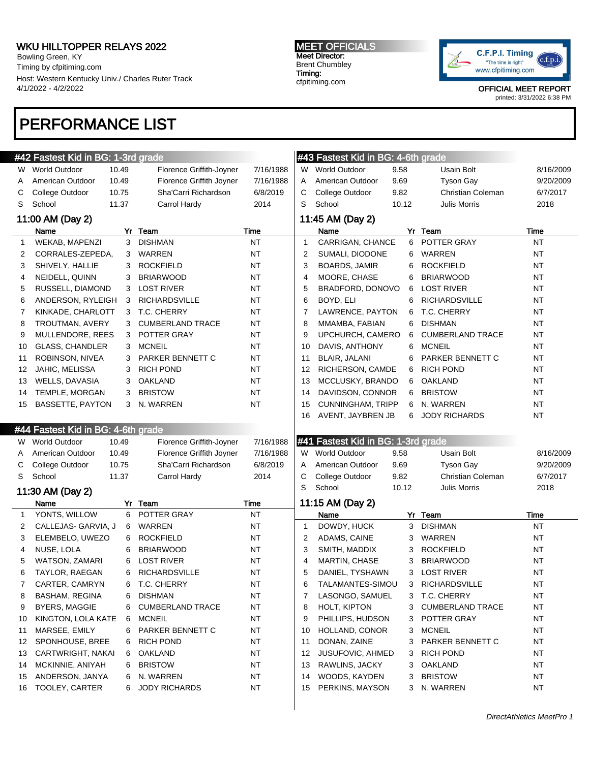Bowling Green, KY Timing by cfpitiming.com Host: Western Kentucky Univ./ Charles Ruter Track 4/1/2022 - 4/2/2022

#### MEET OFFICIALS Meet Director: Brent Chumbley Timing:

cfpitiming.com



OFFICIAL MEET REPORT printed: 3/31/2022 6:38 PM

# PERFORMANCE LIST

|    | #42 Fastest Kid in BG: 1-3rd grade |       |                          |           |                | #43 Fastest Kid in BG: 4-6th grade |       |                         |           |
|----|------------------------------------|-------|--------------------------|-----------|----------------|------------------------------------|-------|-------------------------|-----------|
|    | W World Outdoor                    | 10.49 | Florence Griffith-Joyner | 7/16/1988 |                | W World Outdoor                    | 9.58  | Usain Bolt              | 8/16/2009 |
| A  | American Outdoor                   | 10.49 | Florence Griffith Joyner | 7/16/1988 | Α              | American Outdoor                   | 9.69  | <b>Tyson Gay</b>        | 9/20/2009 |
| С  | College Outdoor                    | 10.75 | Sha'Carri Richardson     | 6/8/2019  | С              | College Outdoor                    | 9.82  | Christian Coleman       | 6/7/2017  |
| S  | School                             | 11.37 | Carrol Hardy             | 2014      | S              | School                             | 10.12 | Julis Morris            | 2018      |
|    | 11:00 AM (Day 2)                   |       |                          |           |                | 11:45 AM (Day 2)                   |       |                         |           |
|    | Name                               |       | Yr Team                  | Time      |                | Name                               |       | Yr Team                 | Time      |
| 1  | <b>WEKAB, MAPENZI</b>              | 3     | <b>DISHMAN</b>           | <b>NT</b> | 1              | CARRIGAN, CHANCE                   | 6     | POTTER GRAY             | <b>NT</b> |
| 2  | CORRALES-ZEPEDA,                   | 3     | WARREN                   | <b>NT</b> | 2              | SUMALI, DIODONE                    | 6     | WARREN                  | <b>NT</b> |
| 3  | SHIVELY, HALLIE                    | 3     | <b>ROCKFIELD</b>         | <b>NT</b> | 3              | <b>BOARDS, JAMIR</b>               | 6     | <b>ROCKFIELD</b>        | <b>NT</b> |
| 4  | NEIDELL, QUINN                     | 3     | <b>BRIARWOOD</b>         | ΝT        | 4              | MOORE, CHASE                       | 6     | <b>BRIARWOOD</b>        | <b>NT</b> |
| 5  | RUSSELL, DIAMOND                   | 3     | <b>LOST RIVER</b>        | ΝT        | 5              | BRADFORD, DONOVO                   | 6     | <b>LOST RIVER</b>       | <b>NT</b> |
| 6  | ANDERSON, RYLEIGH                  | 3     | <b>RICHARDSVILLE</b>     | ΝT        | 6              | BOYD, ELI                          | 6     | <b>RICHARDSVILLE</b>    | <b>NT</b> |
| 7  | KINKADE, CHARLOTT                  | 3     | T.C. CHERRY              | ΝT        | 7              | LAWRENCE, PAYTON                   | 6     | T.C. CHERRY             | <b>NT</b> |
| 8  | TROUTMAN, AVERY                    | 3     | <b>CUMBERLAND TRACE</b>  | <b>NT</b> | 8              | MMAMBA, FABIAN                     | 6     | <b>DISHMAN</b>          | <b>NT</b> |
| 9  | MULLENDORE, REES                   | 3     | POTTER GRAY              | <b>NT</b> | 9              | UPCHURCH, CAMERO                   | 6     | <b>CUMBERLAND TRACE</b> | <b>NT</b> |
| 10 | <b>GLASS, CHANDLER</b>             | 3     | <b>MCNEIL</b>            | <b>NT</b> | 10             | DAVIS, ANTHONY                     | 6     | <b>MCNEIL</b>           | <b>NT</b> |
| 11 | ROBINSON, NIVEA                    | 3     | <b>PARKER BENNETT C</b>  | <b>NT</b> | 11             | <b>BLAIR, JALANI</b>               | 6     | PARKER BENNETT C        | <b>NT</b> |
| 12 | JAHIC, MELISSA                     | 3     | <b>RICH POND</b>         | <b>NT</b> | 12             | RICHERSON, CAMDE                   | 6     | <b>RICH POND</b>        | <b>NT</b> |
| 13 | WELLS, DAVASIA                     | 3     | <b>OAKLAND</b>           | ΝT        | 13             | MCCLUSKY, BRANDO                   | 6     | OAKLAND                 | <b>NT</b> |
| 14 | TEMPLE, MORGAN                     | 3     | <b>BRISTOW</b>           | <b>NT</b> | 14             | DAVIDSON, CONNOR                   | 6     | <b>BRISTOW</b>          | <b>NT</b> |
| 15 | <b>BASSETTE, PAYTON</b>            | 3     | N. WARREN                | <b>NT</b> | 15             | <b>CUNNINGHAM, TRIPP</b>           | 6     | N. WARREN               | <b>NT</b> |
|    |                                    |       |                          |           | 16             | AVENT, JAYBREN JB                  | 6     | <b>JODY RICHARDS</b>    | <b>NT</b> |
|    | #44 Fastest Kid in BG: 4-6th grade |       |                          |           |                |                                    |       |                         |           |
|    |                                    |       |                          |           |                |                                    |       |                         |           |
| W. | <b>World Outdoor</b>               | 10.49 | Florence Griffith-Joyner | 7/16/1988 |                | #41 Fastest Kid in BG: 1-3rd grade |       |                         |           |
| A  | American Outdoor                   | 10.49 | Florence Griffith Joyner | 7/16/1988 | W              | <b>World Outdoor</b>               | 9.58  | Usain Bolt              | 8/16/2009 |
| С  | College Outdoor                    | 10.75 | Sha'Carri Richardson     | 6/8/2019  | Α              | American Outdoor                   | 9.69  | <b>Tyson Gay</b>        | 9/20/2009 |
| S  | School                             | 11.37 | Carrol Hardy             | 2014      | С              | College Outdoor                    | 9.82  | Christian Coleman       | 6/7/2017  |
|    | 11:30 AM (Day 2)                   |       |                          |           | S              | School                             | 10.12 | <b>Julis Morris</b>     | 2018      |
|    | Name                               |       | Yr Team                  | Time      |                | 11:15 AM (Day 2)                   |       |                         |           |
| 1  | YONTS, WILLOW                      | 6     | POTTER GRAY              | NT        |                | Name                               |       | Yr Team                 | Time      |
| 2  | CALLEJAS- GARVIA, J                | 6     | WARREN                   | ΝT        | 1              | DOWDY, HUCK                        | 3     | <b>DISHMAN</b>          | <b>NT</b> |
| 3  | ELEMBELO, UWEZO                    | 6     | <b>ROCKFIELD</b>         | ΝT        | 2              | ADAMS, CAINE                       | 3     | <b>WARREN</b>           | <b>NT</b> |
| 4  | NUSE, LOLA                         | 6     | <b>BRIARWOOD</b>         | ΝT        | 3              | SMITH, MADDIX                      | 3     | <b>ROCKFIELD</b>        | NT        |
| 5  | WATSON, ZAMARI                     | 6     | <b>LOST RIVER</b>        | ΝT        | $\overline{4}$ | MARTIN, CHASE                      | 3     | <b>BRIARWOOD</b>        | NT        |
| 6  | TAYLOR, RAEGAN                     | 6     | <b>RICHARDSVILLE</b>     | ΝT        | 5              | DANIEL, TYSHAWN                    | 3     | <b>LOST RIVER</b>       | NT        |
|    | CARTER, CAMRYN                     | 6     | T.C. CHERRY              | ΝT        | 6              | TALAMANTES-SIMOU                   | 3     | <b>RICHARDSVILLE</b>    | NΤ        |
| 8  | BASHAM, REGINA                     | 6     | <b>DISHMAN</b>           | <b>NT</b> | 7              | LASONGO, SAMUEL                    | 3     | T.C. CHERRY             | <b>NT</b> |
| 9  | <b>BYERS, MAGGIE</b>               | 6     | <b>CUMBERLAND TRACE</b>  | <b>NT</b> | 8              | HOLT, KIPTON                       | 3     | <b>CUMBERLAND TRACE</b> | <b>NT</b> |
| 10 | KINGTON, LOLA KATE                 | 6     | MCNEIL                   | <b>NT</b> | 9              | PHILLIPS, HUDSON                   | 3     | POTTER GRAY             | <b>NT</b> |
| 11 | MARSEE, EMILY                      | 6     | PARKER BENNETT C         | <b>NT</b> | 10             | HOLLAND, CONOR                     | 3     | <b>MCNEIL</b>           | <b>NT</b> |
| 12 | SPONHOUSE, BREE                    | 6     | RICH POND                | <b>NT</b> | 11             | DONAN, ZAINE                       | 3     | PARKER BENNETT C        | <b>NT</b> |
| 13 | CARTWRIGHT, NAKAI                  | 6     | OAKLAND                  | <b>NT</b> | 12             | JUSUFOVIC, AHMED                   | 3     | <b>RICH POND</b>        | <b>NT</b> |
| 14 | MCKINNIE, ANIYAH                   | 6     | <b>BRISTOW</b>           | <b>NT</b> | 13             | RAWLINS, JACKY                     | 3     | <b>OAKLAND</b>          | <b>NT</b> |
| 15 | ANDERSON, JANYA                    | 6     | N. WARREN                | <b>NT</b> | 14             | WOODS, KAYDEN                      | 3     | <b>BRISTOW</b>          | <b>NT</b> |
| 16 | TOOLEY, CARTER                     | 6     | <b>JODY RICHARDS</b>     | NT        | 15             | PERKINS, MAYSON                    | 3     | N. WARREN               | <b>NT</b> |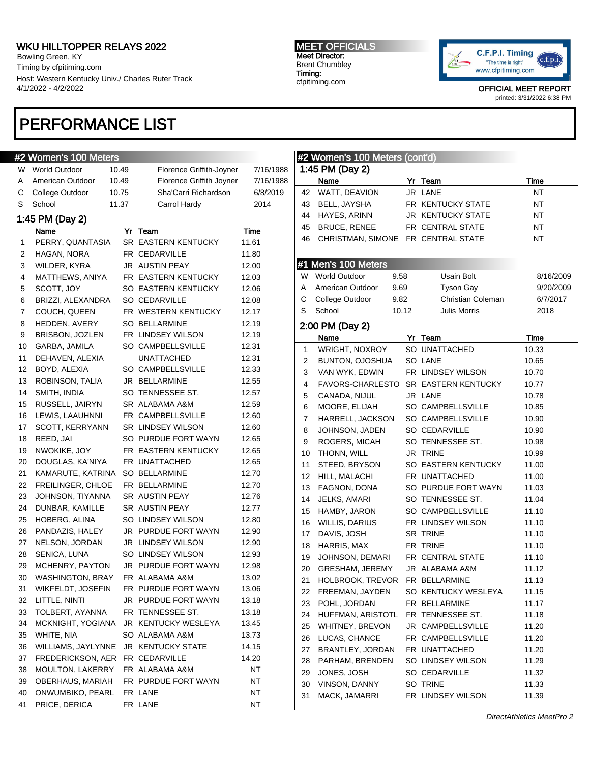Bowling Green, KY Timing by cfpitiming.com Host: Western Kentucky Univ./ Charles Ruter Track 4/1/2022 - 4/2/2022

# PERFORMANCE LIST

### #2 Women's 100 Meters

| W  | World Outdoor      | 10.49 | Florence Griffith-Joyner   | 7/16/1988 |
|----|--------------------|-------|----------------------------|-----------|
| A  | American Outdoor   | 10.49 | Florence Griffith Joyner   | 7/16/1988 |
| С  | College Outdoor    | 10.75 | Sha'Carri Richardson       | 6/8/2019  |
| S  | School             | 11.37 | Carrol Hardy               | 2014      |
|    | 1:45 PM (Day 2)    |       |                            |           |
|    | Name               |       | Yr Team                    | Time      |
| 1  | PERRY, QUANTASIA   |       | <b>SR EASTERN KENTUCKY</b> | 11.61     |
| 2  | HAGAN, NORA        |       | FR CEDARVILLE              | 11.80     |
| 3  | WILDER, KYRA       |       | <b>JR AUSTIN PEAY</b>      | 12.00     |
| 4  | MATTHEWS, ANIYA    |       | FR EASTERN KENTUCKY        | 12.03     |
| 5  | SCOTT, JOY         |       | SO EASTERN KENTUCKY        | 12.06     |
| 6  | BRIZZI, ALEXANDRA  |       | SO CEDARVILLE              | 12.08     |
| 7  | COUCH, QUEEN       |       | FR WESTERN KENTUCKY        | 12.17     |
| 8  | HEDDEN, AVERY      |       | <b>SO BELLARMINE</b>       | 12.19     |
| 9  | BRISBON, JOZLEN    |       | FR LINDSEY WILSON          | 12.19     |
| 10 | GARBA, JAMILA      |       | SO CAMPBELLSVILLE          | 12.31     |
| 11 | DEHAVEN, ALEXIA    |       | UNATTACHED                 | 12.31     |
| 12 | BOYD, ALEXIA       |       | <b>SO CAMPBELLSVILLE</b>   | 12.33     |
| 13 | ROBINSON, TALIA    |       | JR BELLARMINE              | 12.55     |
| 14 | SMITH, INDIA       |       | SO TENNESSEE ST.           | 12.57     |
| 15 | RUSSELL, JAIRYN    |       | SR ALABAMA A&M             | 12.59     |
| 16 | LEWIS, LAAUHNNI    |       | FR CAMPBELLSVILLE          | 12.60     |
| 17 | SCOTT, KERRYANN    |       | SR LINDSEY WILSON          | 12.60     |
| 18 | REED, JAI          |       | SO PURDUE FORT WAYN        | 12.65     |
| 19 | NWOKIKE, JOY       |       | FR EASTERN KENTUCKY        | 12.65     |
| 20 | DOUGLAS, KA'NIYA   |       | FR UNATTACHED              | 12.65     |
| 21 | KAMARUTE, KATRINA  |       | SO BELLARMINE              | 12.70     |
| 22 | FREILINGER, CHLOE  |       | FR BELLARMINE              | 12.70     |
| 23 | JOHNSON, TIYANNA   |       | SR AUSTIN PEAY             | 12.76     |
| 24 | DUNBAR, KAMILLE    |       | SR AUSTIN PEAY             | 12.77     |
| 25 | HOBERG, ALINA      |       | SO LINDSEY WILSON          | 12.80     |
| 26 | PANDAZIS, HALEY    |       | JR PURDUE FORT WAYN        | 12.90     |
| 27 | NELSON, JORDAN     |       | JR LINDSEY WILSON          | 12.90     |
| 28 | SENICA, LUNA       |       | SO LINDSEY WILSON          | 12.93     |
| 29 | MCHENRY, PAYTON    |       | JR PURDUE FORT WAYN        | 12.98     |
| 30 | WASHINGTON, BRAY   |       | FR ALABAMA A&M             | 13.02     |
| 31 | WIKFELDT, JOSEFIN  |       | FR PURDUE FORT WAYN        | 13.06     |
| 32 | LITTLE, NINTI      |       | JR PURDUE FORT WAYN        | 13.18     |
| 33 | TOLBERT, AYANNA    |       | FR TENNESSEE ST.           | 13.18     |
| 34 | MCKNIGHT, YOGIANA  |       | JR KENTUCKY WESLEYA        | 13.45     |
| 35 | WHITE, NIA         |       | SO ALABAMA A&M             | 13.73     |
| 36 | WILLIAMS, JAYLYNNE |       | JR KENTUCKY STATE          | 14.15     |
| 37 | FREDERICKSON, AER  |       | FR CEDARVILLE              | 14.20     |
| 38 | MOULTON, LAKERRY   |       | FR ALABAMA A&M             | NT        |
| 39 | OBERHAUS, MARIAH   |       | FR PURDUE FORT WAYN        | NT        |
| 40 | ONWUMBIKO, PEARL   |       | FR LANE                    | NΤ        |
| 41 | PRICE, DERICA      |       | FR LANE                    | NT        |

#### MEET OFFICIALS Meet Director: Brent Chumbley Timing: cfpitiming.com



|         |    | #2 Women's 100 Meters (cont'd) |      |       |                                      |             |
|---------|----|--------------------------------|------|-------|--------------------------------------|-------------|
| 16/1988 |    | 1:45 PM (Day 2)                |      |       |                                      |             |
| 16/1988 |    | Name                           |      |       | Yr Team                              | Time        |
| 8/2019  | 42 | WATT, DEAVION                  |      |       | JR LANE                              | NT          |
| )14     | 43 | BELL, JAYSHA                   |      |       | FR KENTUCKY STATE                    | NT          |
|         |    | 44 HAYES, ARINN                |      |       | JR KENTUCKY STATE                    | NT          |
|         |    | 45 BRUCE, RENEE                |      |       | FR CENTRAL STATE                     | NT          |
|         | 46 |                                |      |       | CHRISTMAN, SIMONE FR CENTRAL STATE   | NT          |
|         |    |                                |      |       |                                      |             |
|         |    | #1 Men's 100 Meters            |      |       |                                      |             |
|         |    | W World Outdoor                | 9.58 |       | Usain Bolt                           | 8/16/2009   |
|         |    | A American Outdoor             | 9.69 |       | Tyson Gay                            | 9/20/2009   |
|         | C  | College Outdoor                | 9.82 |       | Christian Coleman                    | 6/7/2017    |
|         | S  | School                         |      | 10.12 | Julis Morris                         | 2018        |
|         |    | 2:00 PM (Day 2)                |      |       |                                      |             |
|         |    | Name                           |      |       | Yr Team                              | <b>Time</b> |
|         | 1. | WRIGHT, NOXROY                 |      |       | SO UNATTACHED                        | 10.33       |
|         |    | 2 BUNTON, OJOSHUA              |      |       | SO LANE                              | 10.65       |
|         | 3  | VAN WYK, EDWIN                 |      |       | FR LINDSEY WILSON                    | 10.70       |
|         | 4  |                                |      |       | FAVORS-CHARLESTO SR EASTERN KENTUCKY | 10.77       |
|         | 5  | CANADA, NIJUL                  |      |       | JR LANE                              | 10.78       |
|         | 6  | MOORE, ELIJAH                  |      |       | SO CAMPBELLSVILLE                    | 10.85       |
|         | 7  | HARRELL, JACKSON               |      |       | SO CAMPBELLSVILLE                    | 10.90       |
|         | 8  | JOHNSON, JADEN                 |      |       | SO CEDARVILLE                        | 10.90       |
|         | 9  | ROGERS, MICAH                  |      |       | SO TENNESSEE ST.                     | 10.98       |
|         | 10 | THONN, WILL                    |      |       | JR TRINE                             | 10.99       |
|         | 11 | STEED, BRYSON                  |      |       | SO EASTERN KENTUCKY                  | 11.00       |
|         | 12 | HILL, MALACHI                  |      |       | FR UNATTACHED                        | 11.00       |
|         | 13 | FAGNON, DONA                   |      |       | SO PURDUE FORT WAYN                  | 11.03       |
|         | 14 | JELKS, AMARI                   |      |       | SO TENNESSEE ST.                     | 11.04       |
|         | 15 | HAMBY, JARON                   |      |       | SO CAMPBELLSVILLE                    | 11.10       |
|         | 16 | WILLIS, DARIUS                 |      |       | FR LINDSEY WILSON                    | 11.10       |
|         | 17 | DAVIS, JOSH                    |      |       | SR TRINE                             | 11.10       |
|         | 18 | HARRIS, MAX                    |      |       | FR TRINE                             | 11.10       |
|         | 19 | JOHNSON, DEMARI                |      |       | FR CENTRAL STATE                     | 11.10       |
|         | 20 | GRESHAM, JEREMY                |      |       | JR ALABAMA A&M                       | 11.12       |
|         | 21 | HOLBROOK, TREVOR FR BELLARMINE |      |       |                                      | 11.13       |
|         | 22 | FREEMAN, JAYDEN                |      |       | SO KENTUCKY WESLEYA                  | 11.15       |
|         | 23 | POHL, JORDAN                   |      |       | FR BELLARMINE                        | 11.17       |
|         | 24 | HUFFMAN, ARISTOTL              |      |       | FR TENNESSEE ST.                     | 11.18       |
|         | 25 | WHITNEY, BREVON                |      |       | JR CAMPBELLSVILLE                    | 11.20       |
|         | 26 | LUCAS, CHANCE                  |      |       | FR CAMPBELLSVILLE                    | 11.20       |
|         | 27 | BRANTLEY, JORDAN               |      |       | FR UNATTACHED                        | 11.20       |
|         | 28 | PARHAM, BRENDEN                |      |       | SO LINDSEY WILSON                    | 11.29       |
|         | 29 | JONES, JOSH                    |      |       | SO CEDARVILLE                        | 11.32       |
|         |    | 30 VINSON, DANNY               |      |       | SO TRINE                             | 11.33       |
|         | 31 | MACK, JAMARRI                  |      |       | FR LINDSEY WILSON                    | 11.39       |
|         |    |                                |      |       |                                      |             |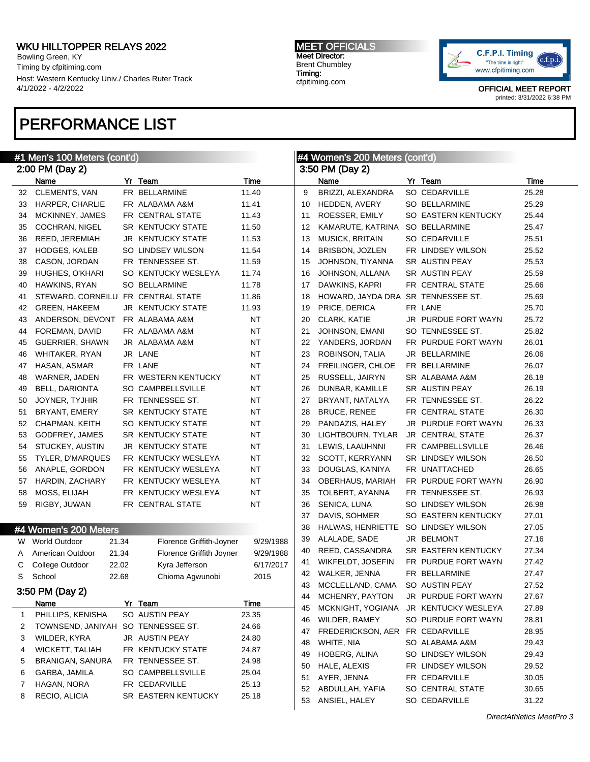Bowling Green, KY Timing by cfpitiming.com Host: Western Kentucky Univ./ Charles Ruter Track 4/1/2022 - 4/2/2022

# PERFORMANCE LIST

MEET OFFICIALS Meet Director: Brent Chumbley Timing: cfpitiming.com



|    | #1 Men's 100 Meters (cont'd)       |       |                          |             | #4 Women's 200 Meters (cont'd) |                          |  |                          |       |
|----|------------------------------------|-------|--------------------------|-------------|--------------------------------|--------------------------|--|--------------------------|-------|
|    | 2:00 PM (Day 2)                    |       |                          |             | 3:50 PM (Day 2)                |                          |  |                          |       |
|    | Name                               |       | Yr Team                  | Time        |                                | Name                     |  | Yr Team                  | Time  |
| 32 | <b>CLEMENTS, VAN</b>               |       | FR BELLARMINE            | 11.40       | 9                              | BRIZZI, ALEXANDRA        |  | SO CEDARVILLE            | 25.28 |
| 33 | <b>HARPER, CHARLIE</b>             |       | FR ALABAMA A&M           | 11.41       | 10                             | HEDDEN, AVERY            |  | <b>SO BELLARMINE</b>     | 25.29 |
| 34 | MCKINNEY, JAMES                    |       | FR CENTRAL STATE         | 11.43       | 11                             | ROESSER, EMILY           |  | SO EASTERN KENTUCKY      | 25.44 |
| 35 | COCHRAN, NIGEL                     |       | SR KENTUCKY STATE        | 11.50       | 12                             | KAMARUTE, KATRINA        |  | <b>SO BELLARMINE</b>     | 25.47 |
| 36 | REED, JEREMIAH                     |       | <b>JR KENTUCKY STATE</b> | 11.53       | 13                             | <b>MUSICK, BRITAIN</b>   |  | SO CEDARVILLE            | 25.51 |
| 37 | <b>HODGES, KALEB</b>               |       | SO LINDSEY WILSON        | 11.54       | 14                             | BRISBON, JOZLEN          |  | FR LINDSEY WILSON        | 25.52 |
| 38 | CASON, JORDAN                      |       | FR TENNESSEE ST.         | 11.59       | 15                             | JOHNSON, TIYANNA         |  | SR AUSTIN PEAY           | 25.53 |
| 39 | HUGHES, O'KHARI                    |       | SO KENTUCKY WESLEYA      | 11.74       | 16                             | JOHNSON, ALLANA          |  | SR AUSTIN PEAY           | 25.59 |
| 40 | HAWKINS, RYAN                      |       | <b>SO BELLARMINE</b>     | 11.78       | 17                             | DAWKINS, KAPRI           |  | FR CENTRAL STATE         | 25.66 |
| 41 | STEWARD, CORNEILU FR CENTRAL STATE |       |                          | 11.86       | 18                             | HOWARD, JAYDA DRA        |  | SR TENNESSEE ST.         | 25.69 |
| 42 | <b>GREEN, HAKEEM</b>               |       | <b>JR KENTUCKY STATE</b> | 11.93       | 19                             | PRICE, DERICA            |  | FR LANE                  | 25.70 |
| 43 | ANDERSON, DEVONT                   |       | FR ALABAMA A&M           | NT          | 20                             | CLARK, KATIE             |  | JR PURDUE FORT WAYN      | 25.72 |
| 44 | FOREMAN, DAVID                     |       | FR ALABAMA A&M           | NT          | 21                             | JOHNSON, EMANI           |  | SO TENNESSEE ST.         | 25.82 |
| 45 | GUERRIER, SHAWN                    |       | JR ALABAMA A&M           | NT          | 22                             | YANDERS, JORDAN          |  | FR PURDUE FORT WAYN      | 26.01 |
| 46 | WHITAKER, RYAN                     |       | JR LANE                  | NT          | 23                             | ROBINSON, TALIA          |  | JR BELLARMINE            | 26.06 |
| 47 | HASAN, ASMAR                       |       | FR LANE                  | NT          | 24                             | FREILINGER, CHLOE        |  | FR BELLARMINE            | 26.07 |
| 48 | WARNER, JADEN                      |       | FR WESTERN KENTUCKY      | <b>NT</b>   | 25                             | RUSSELL, JAIRYN          |  | SR ALABAMA A&M           | 26.18 |
| 49 | <b>BELL, DARIONTA</b>              |       | SO CAMPBELLSVILLE        | NT          | 26                             | DUNBAR, KAMILLE          |  | SR AUSTIN PEAY           | 26.19 |
| 50 | JOYNER, TYJHIR                     |       | FR TENNESSEE ST.         | NT          | 27                             | BRYANT, NATALYA          |  | FR TENNESSEE ST.         | 26.22 |
| 51 | BRYANT, EMERY                      |       | SR KENTUCKY STATE        | <b>NT</b>   | 28                             | <b>BRUCE, RENEE</b>      |  | FR CENTRAL STATE         | 26.30 |
| 52 | CHAPMAN, KEITH                     |       | SO KENTUCKY STATE        | NT          | 29                             | PANDAZIS, HALEY          |  | JR PURDUE FORT WAYN      | 26.33 |
| 53 | GODFREY, JAMES                     |       | SR KENTUCKY STATE        | NT          | 30                             | LIGHTBOURN, TYLAR        |  | JR CENTRAL STATE         | 26.37 |
| 54 | STUCKEY, AUSTIN                    |       | JR KENTUCKY STATE        | NT          | 31                             | LEWIS, LAAUHNNI          |  | FR CAMPBELLSVILLE        | 26.46 |
| 55 | TYLER, D'MARQUES                   |       | FR KENTUCKY WESLEYA      | <b>NT</b>   | 32                             | SCOTT, KERRYANN          |  | <b>SR LINDSEY WILSON</b> | 26.50 |
| 56 | ANAPLE, GORDON                     |       | FR KENTUCKY WESLEYA      | NT          | 33                             | DOUGLAS, KA'NIYA         |  | FR UNATTACHED            | 26.65 |
| 57 | HARDIN, ZACHARY                    |       | FR KENTUCKY WESLEYA      | NT          | 34                             | OBERHAUS, MARIAH         |  | FR PURDUE FORT WAYN      | 26.90 |
| 58 | MOSS, ELIJAH                       |       | FR KENTUCKY WESLEYA      | NT          | 35                             | TOLBERT, AYANNA          |  | FR TENNESSEE ST.         | 26.93 |
| 59 | RIGBY, JUWAN                       |       | FR CENTRAL STATE         | <b>NT</b>   | 36                             | SENICA, LUNA             |  | SO LINDSEY WILSON        | 26.98 |
|    |                                    |       |                          |             | 37                             | DAVIS, SOHMER            |  | SO EASTERN KENTUCKY      | 27.01 |
|    | #4 Women's 200 Meters              |       |                          |             | 38                             | HALWAS, HENRIETTE        |  | SO LINDSEY WILSON        | 27.05 |
|    |                                    |       |                          |             | 39                             | ALALADE, SADE            |  | JR BELMONT               | 27.16 |
|    | W World Outdoor                    | 21.34 | Florence Griffith-Joyner | 9/29/1988   | 40                             | REED, CASSANDRA          |  | SR EASTERN KENTUCKY      | 27.34 |
| A  | American Outdoor                   | 21.34 | Florence Griffith Joyner | 9/29/1988   | 41                             | <b>WIKFELDT, JOSEFIN</b> |  | FR PURDUE FORT WAYN      | 27.42 |
| С  | College Outdoor                    | 22.02 | Kyra Jefferson           | 6/17/2017   |                                | 42 WALKER, JENNA         |  | FR BELLARMINE            | 27.47 |
| S  | School                             | 22.68 | Chioma Agwunobi          | 2015        |                                | 43 MCCLELLAND, CAMA      |  | SO AUSTIN PEAY           | 27.52 |
|    | 3:50 PM (Day 2)                    |       |                          |             | 44                             | MCHENRY, PAYTON          |  | JR PURDUE FORT WAYN      | 27.67 |
|    | Name                               |       | Yr Team                  | <b>Time</b> | 45                             | MCKNIGHT, YOGIANA        |  | JR KENTUCKY WESLEYA      | 27.89 |
| 1  | PHILLIPS, KENISHA                  |       | SO AUSTIN PEAY           | 23.35       | 46                             | WILDER, RAMEY            |  | SO PURDUE FORT WAYN      | 28.81 |
| 2  | TOWNSEND, JANIYAH SO TENNESSEE ST. |       |                          | 24.66       | 47                             | FREDERICKSON, AER        |  | FR CEDARVILLE            | 28.95 |
| З  | WILDER, KYRA                       |       | JR AUSTIN PEAY           | 24.80       | 48                             | WHITE, NIA               |  | SO ALABAMA A&M           | 29.43 |
| 4  | <b>WICKETT, TALIAH</b>             |       | FR KENTUCKY STATE        | 24.87       | 49                             | HOBERG, ALINA            |  | SO LINDSEY WILSON        | 29.43 |
| 5  | BRANIGAN, SANURA                   |       | FR TENNESSEE ST.         | 24.98       | 50                             | HALE, ALEXIS             |  | FR LINDSEY WILSON        | 29.52 |
| 6  | GARBA, JAMILA                      |       | SO CAMPBELLSVILLE        | 25.04       |                                | AYER, JENNA              |  | FR CEDARVILLE            | 30.05 |
| 7  | HAGAN, NORA                        |       | FR CEDARVILLE            | 25.13       | 51                             |                          |  |                          |       |
| 8  | RECIO, ALICIA                      |       | SR EASTERN KENTUCKY      | 25.18       | 52                             | ABDULLAH, YAFIA          |  | SO CENTRAL STATE         | 30.65 |
|    |                                    |       |                          |             | 53                             | ANSIEL, HALEY            |  | SO CEDARVILLE            | 31.22 |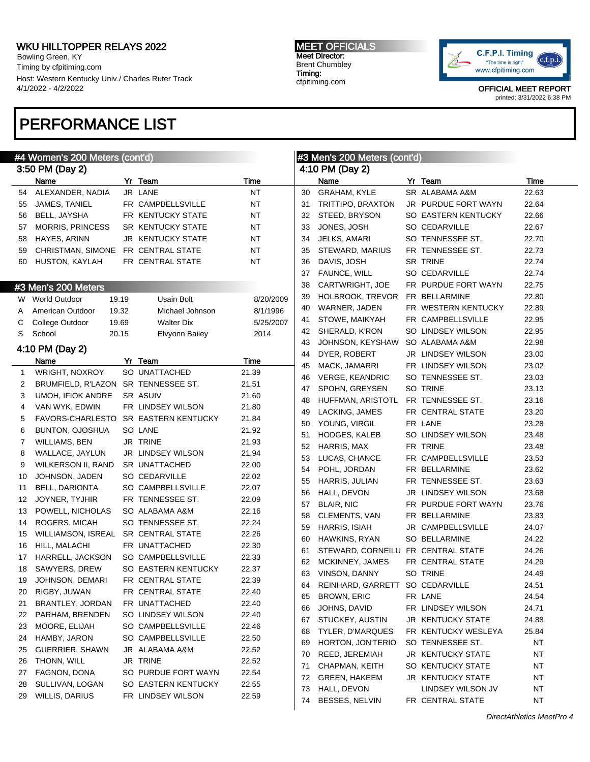Bowling Green, KY Timing by cfpitiming.com Host: Western Kentucky Univ./ Charles Ruter Track 4/1/2022 - 4/2/2022

# PERFORMANCE LIST

#### #4 Women's 200 Meters (cont'd) 3:50 PM (Day 2) Name Yr Team Time 54 ALEXANDER, NADIA JR LANE NT JAMES, TANIEL FR CAMPBELLSVILLE NT BELL, JAYSHA FR KENTUCKY STATE NT 57 MORRIS, PRINCESS SR KENTUCKY STATE NT HAYES, ARINN JR KENTUCKY STATE NT CHRISTMAN, SIMONE FR CENTRAL STATE NT HUSTON, KAYLAH FR CENTRAL STATE NT #3 Men's 200 Meters W World Outdoor 19.19 Usain Bolt 8/20/2009 A American Outdoor 19.32 Michael Johnson 8/1/1996 C College Outdoor 19.69 Walter Dix 5/25/2007 S School 20.15 Elvyonn Bailey 2014 4:10 PM (Day 2) Name Yr Team Time WRIGHT, NOXROY SO UNATTACHED 21.39 2 BRUMFIELD, R'LAZON SR TENNESSEE ST. 21.51 UMOH, IFIOK ANDRE SR ASUIV 21.60 VAN WYK, EDWIN FR LINDSEY WILSON 21.80 FAVORS-CHARLESTO SR EASTERN KENTUCKY 21.84 BUNTON, OJOSHUA SO LANE 21.92 WILLIAMS, BEN JR TRINE 21.93 WALLACE, JAYLUN JR LINDSEY WILSON 21.94 9 WILKERSON II, RAND SR UNATTACHED 22.00 JOHNSON, JADEN SO CEDARVILLE 22.02 BELL, DARIONTA SO CAMPBELLSVILLE 22.07 12 JOYNER, TYJHIR FR TENNESSEE ST. 22.09 POWELL, NICHOLAS SO ALABAMA A&M 22.16 14 ROGERS, MICAH SO TENNESSEE ST. 22.24 WILLIAMSON, ISREAL SR CENTRAL STATE 22.26 16 HILL, MALACHI FR UNATTACHED 22.30 17 HARRELL, JACKSON SO CAMPBELLSVILLE 22.33 SAWYERS, DREW SO EASTERN KENTUCKY 22.37 JOHNSON, DEMARI FR CENTRAL STATE 22.39 RIGBY, JUWAN FR CENTRAL STATE 22.40 BRANTLEY, JORDAN FR UNATTACHED 22.40 PARHAM, BRENDEN SO LINDSEY WILSON 22.40 MOORE, ELIJAH SO CAMPBELLSVILLE 22.46 HAMBY, JARON SO CAMPBELLSVILLE 22.50 GUERRIER, SHAWN JR ALABAMA A&M 22.52 THONN, WILL JR TRINE 22.52 FAGNON, DONA SO PURDUE FORT WAYN 22.54 SULLIVAN, LOGAN SO EASTERN KENTUCKY 22.55 WILLIS, DARIUS FR LINDSEY WILSON 22.59 #3 Men's 200 Meters (cont'd) 4:10 PM (Day 2) Name **Yr Team Yr Team** Time GRAHAM, KYLE SR ALABAMA A&M 22.63 TRITTIPO, BRAXTON JR PURDUE FORT WAYN 22.64 STEED, BRYSON SO EASTERN KENTUCKY 22.66 33 JONES, JOSH SO CEDARVILLE 22.67 34 JELKS, AMARI SO TENNESSEE ST. 22.70 STEWARD, MARIUS FR TENNESSEE ST. 22.73 DAVIS, JOSH SR TRINE 22.74 37 FAUNCE, WILL SO CEDARVILLE 22.74 CARTWRIGHT, JOE FR PURDUE FORT WAYN 22.75 HOLBROOK, TREVOR FR BELLARMINE 22.80 WARNER, JADEN FR WESTERN KENTUCKY 22.89 STOWE, MAIKYAH FR CAMPBELLSVILLE 22.95 SHERALD, K'RON SO LINDSEY WILSON 22.95 JOHNSON, KEYSHAW SO ALABAMA A&M 22.98 DYER, ROBERT JR LINDSEY WILSON 23.00 MACK, JAMARRI FR LINDSEY WILSON 23.02 VERGE, KEANDRIC SO TENNESSEE ST. 23.03 SPOHN, GREYSEN SO TRINE 23.13 HUFFMAN, ARISTOTL FR TENNESSEE ST. 23.16 49 LACKING, JAMES FR CENTRAL STATE 23.20 YOUNG, VIRGIL FR LANE 23.28 HODGES, KALEB SO LINDSEY WILSON 23.48 HARRIS, MAX FR TRINE 23.48 LUCAS, CHANCE FR CAMPBELLSVILLE 23.53 POHL, JORDAN FR BELLARMINE 23.62 HARRIS, JULIAN FR TENNESSEE ST. 23.63 HALL, DEVON JR LINDSEY WILSON 23.68 57 BLAIR, NIC FR PURDUE FORT WAYN 23.76 CLEMENTS, VAN FR BELLARMINE 23.83 HARRIS, ISIAH JR CAMPBELLSVILLE 24.07 HAWKINS, RYAN SO BELLARMINE 24.22 STEWARD, CORNEILU FR CENTRAL STATE 24.26 MCKINNEY, JAMES FR CENTRAL STATE 24.29 VINSON, DANNY SO TRINE 24.49 REINHARD, GARRETT SO CEDARVILLE 24.51 BROWN, ERIC FR LANE 24.54 JOHNS, DAVID FR LINDSEY WILSON 24.71 STUCKEY, AUSTIN JR KENTUCKY STATE 24.88 TYLER, D'MARQUES FR KENTUCKY WESLEYA 25.84 HORTON, JON'TERIO SO TENNESSEE ST. NT REED, JEREMIAH JR KENTUCKY STATE NT CHAPMAN, KEITH SO KENTUCKY STATE NT GREEN, HAKEEM JR KENTUCKY STATE NT 73 HALL, DEVON LINDSEY WILSON JV NT BESSES, NELVIN FR CENTRAL STATE NT

MEET OFFICIALS Meet Director: Brent Chumbley Timing: cfpitiming.com

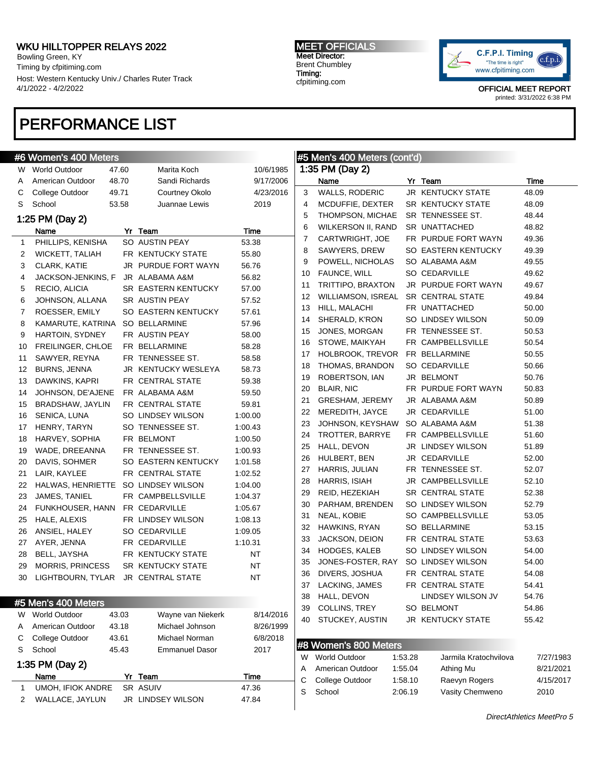Bowling Green, KY Timing by cfpitiming.com Host: Western Kentucky Univ./ Charles Ruter Track 4/1/2022 - 4/2/2022

#### MEET OFFICIALS Meet Director: Brent Chumbley Timing: cfpitiming.com



OFFICIAL MEET REPORT printed: 3/31/2022 6:38 PM

# PERFORMANCE LIST

### #6 Women's 400 Meters

1:35 PM (Day 2)

| W  | <b>World Outdoor</b>      | 47.60 |  | Marita Koch                                    | 10/6/1985 |  |  |
|----|---------------------------|-------|--|------------------------------------------------|-----------|--|--|
| A  | American Outdoor          | 48.70 |  | Sandi Richards                                 | 9/17/2006 |  |  |
| С  | College Outdoor           | 49.71 |  | Courtney Okolo                                 | 4/23/2016 |  |  |
| S  | School                    | 53.58 |  | Juannae Lewis                                  | 2019      |  |  |
|    | 1:25 PM (Day 2)           |       |  |                                                |           |  |  |
|    | Name                      |       |  | Yr Team                                        | Time      |  |  |
| 1  | PHILLIPS, KENISHA         |       |  | SO AUSTIN PEAY                                 | 53.38     |  |  |
| 2  | <b>WICKETT, TALIAH</b>    |       |  | FR KENTUCKY STATE                              | 55.80     |  |  |
| 3  | CLARK, KATIE              |       |  | JR PURDUE FORT WAYN                            | 56.76     |  |  |
| 4  | JACKSON-JENKINS, F        |       |  | JR ALABAMA A&M                                 | 56.82     |  |  |
| 5  | RECIO, ALICIA             |       |  | <b>SR EASTERN KENTUCKY</b>                     | 57.00     |  |  |
| 6  | JOHNSON, ALLANA           |       |  | SR AUSTIN PEAY                                 | 57.52     |  |  |
| 7  | ROESSER, EMILY            |       |  | SO EASTERN KENTUCKY                            | 57.61     |  |  |
| 8  | KAMARUTE, KATRINA         |       |  | SO BELLARMINE                                  | 57.96     |  |  |
| 9  | <b>HARTOIN, SYDNEY</b>    |       |  | FR AUSTIN PEAY                                 | 58.00     |  |  |
| 10 | FREILINGER, CHLOE         |       |  | FR BELLARMINE                                  | 58.28     |  |  |
| 11 | SAWYER, REYNA             |       |  | FR TENNESSEE ST.                               | 58.58     |  |  |
| 12 | <b>BURNS, JENNA</b>       |       |  | JR KENTUCKY WESLEYA                            | 58.73     |  |  |
| 13 | DAWKINS, KAPRI            |       |  | FR CENTRAL STATE                               | 59.38     |  |  |
| 14 | JOHNSON, DE'AJENE         |       |  | FR ALABAMA A&M                                 | 59.50     |  |  |
| 15 | BRADSHAW, JAYLIN          |       |  | FR CENTRAL STATE                               | 59.81     |  |  |
| 16 | SENICA, LUNA              |       |  | SO LINDSEY WILSON                              | 1:00.00   |  |  |
| 17 | HENRY, TARYN              |       |  | SO TENNESSEE ST.                               | 1:00.43   |  |  |
| 18 | HARVEY, SOPHIA            |       |  | FR BELMONT                                     | 1:00.50   |  |  |
| 19 | WADE, DREEANNA            |       |  | FR TENNESSEE ST.                               | 1:00.93   |  |  |
| 20 | DAVIS, SOHMER             |       |  | SO EASTERN KENTUCKY                            | 1:01.58   |  |  |
| 21 | LAIR, KAYLEE              |       |  | FR CENTRAL STATE                               | 1:02.52   |  |  |
| 22 | HALWAS, HENRIETTE         |       |  | SO LINDSEY WILSON                              | 1:04.00   |  |  |
| 23 | JAMES, TANIEL             |       |  | FR CAMPBELLSVILLE                              | 1:04.37   |  |  |
| 24 | FUNKHOUSER, HANN          |       |  | FR CEDARVILLE                                  | 1:05.67   |  |  |
| 25 | HALE, ALEXIS              |       |  | FR LINDSEY WILSON                              | 1:08.13   |  |  |
| 26 | ANSIEL, HALEY             |       |  | SO CEDARVILLE                                  | 1:09.05   |  |  |
| 27 | AYER, JENNA               |       |  | FR CEDARVILLE                                  | 1:10.31   |  |  |
| 28 | BELL, JAYSHA              |       |  | FR KENTUCKY STATE                              | ΝT        |  |  |
| 29 | MORRIS, PRINCESS          |       |  | <b>SR KENTUCKY STATE</b>                       | ΝT        |  |  |
| 30 | LIGHTBOURN, TYLAR         |       |  | <b>JR CENTRAL STATE</b>                        | ΝT        |  |  |
|    |                           |       |  |                                                |           |  |  |
|    | #5 Men's 400 Meters       |       |  |                                                |           |  |  |
| W  | <b>World Outdoor</b>      | 43.03 |  | Wayne van Niekerk                              | 8/14/2016 |  |  |
| Α  | American Outdoor<br>43.18 |       |  | Michael Johnson<br>8/26/1999<br>Michael Norman |           |  |  |
| С  | College Outdoor           | 43.61 |  | 6/8/2018                                       |           |  |  |
| S  | School                    | 45.43 |  | <b>Emmanuel Dasor</b>                          | 2017      |  |  |

Name Yr Team Time 1 UMOH, IFIOK ANDRE SR ASUIV 47.36 WALLACE, JAYLUN JR LINDSEY WILSON 47.84

# #5 Men's 400 Meters (cont'd)

| Name<br>Yr Team<br>Time<br><b>WALLS, RODERIC</b><br>JR KENTUCKY STATE<br>3<br>48.09<br>4<br>MCDUFFIE, DEXTER<br>SR KENTUCKY STATE<br>48.09<br>5<br>THOMPSON, MICHAE<br>SR TENNESSEE ST.<br>48.44<br><b>WILKERSON II, RAND</b><br>6<br>SR UNATTACHED<br>48.82<br>7<br>CARTWRIGHT, JOE<br>FR PURDUE FORT WAYN<br>49.36<br>SAWYERS, DREW<br>8<br>SO EASTERN KENTUCKY<br>49.39<br>POWELL, NICHOLAS<br>9<br>SO ALABAMA A&M<br>49.55<br>FAUNCE, WILL<br>10<br>SO CEDARVILLE<br>49.62<br>TRITTIPO, BRAXTON<br>JR PURDUE FORT WAYN<br>11<br>49.67<br>WILLIAMSON, ISREAL<br>12<br>SR CENTRAL STATE<br>49.84<br>HILL, MALACHI<br>13<br>FR UNATTACHED<br>50.00<br>14<br>SHERALD, K'RON<br>SO LINDSEY WILSON<br>50.09<br>JONES, MORGAN<br>15<br>FR TENNESSEE ST.<br>50.53<br>STOWE, MAIKYAH<br>16<br>FR CAMPBELLSVILLE<br>50.54<br>17<br>HOLBROOK, TREVOR<br>FR BELLARMINE<br>50.55<br>THOMAS, BRANDON<br>18<br>SO CEDARVILLE<br>50.66<br>19<br>ROBERTSON, IAN<br>JR BELMONT<br>50.76<br>FR PURDUE FORT WAYN<br>20<br><b>BLAIR, NIC</b><br>50.83<br>GRESHAM, JEREMY<br>21<br>JR ALABAMA A&M<br>50.89<br>22<br>MEREDITH, JAYCE<br>JR CEDARVILLE<br>51.00<br>JOHNSON, KEYSHAW<br>23<br>SO ALABAMA A&M<br>51.38<br>TROTTER, BARRYE<br>24<br>FR CAMPBELLSVILLE<br>51.60<br>HALL, DEVON<br>25<br>JR LINDSEY WILSON<br>51.89<br>26<br>HULBERT, BEN<br>JR CEDARVILLE<br>52.00<br>HARRIS, JULIAN<br>27<br>FR TENNESSEE ST.<br>52.07<br>28<br>HARRIS, ISIAH<br>JR CAMPBELLSVILLE<br>52.10<br>29<br>REID, HEZEKIAH<br>SR CENTRAL STATE<br>52.38<br>30<br>PARHAM, BRENDEN<br>SO LINDSEY WILSON<br>52.79<br>NEAL, KOBIE<br>SO CAMPBELLSVILLE<br>31<br>53.05<br>HAWKINS, RYAN<br>32<br>SO BELLARMINE<br>53.15<br>JACKSON, DEION<br>33<br>FR CENTRAL STATE<br>53.63<br>HODGES, KALEB<br>SO LINDSEY WILSON<br>34<br>54.00<br>SO LINDSEY WILSON<br>35<br>JONES-FOSTER, RAY<br>54.00<br>FR CENTRAL STATE<br>36<br>DIVERS, JOSHUA<br>54.08<br>37<br>LACKING, JAMES<br>FR CENTRAL STATE<br>54.41<br>38<br>HALL, DEVON<br>LINDSEY WILSON JV<br>54.76<br>COLLINS, TREY<br>39<br>SO BELMONT<br>54.86<br>40<br>STUCKEY, AUSTIN<br><b>JR KENTUCKY STATE</b><br>55.42<br>#8 Women's 800 Meters<br>W<br><b>World Outdoor</b><br>Jarmila Kratochvilova<br>1:53.28<br>7/27/1983<br>American Outdoor<br>Athing Mu<br>Α<br>1:55.04<br>8/21/2021<br>С<br>College Outdoor<br>Raevyn Rogers<br>1:58.10<br>4/15/2017<br>S<br>School<br>Vasity Chemweno<br>2:06.19<br>2010 | 1:35 PM (Day 2) |  |  |  |  |  |  |  |  |  |
|-----------------------------------------------------------------------------------------------------------------------------------------------------------------------------------------------------------------------------------------------------------------------------------------------------------------------------------------------------------------------------------------------------------------------------------------------------------------------------------------------------------------------------------------------------------------------------------------------------------------------------------------------------------------------------------------------------------------------------------------------------------------------------------------------------------------------------------------------------------------------------------------------------------------------------------------------------------------------------------------------------------------------------------------------------------------------------------------------------------------------------------------------------------------------------------------------------------------------------------------------------------------------------------------------------------------------------------------------------------------------------------------------------------------------------------------------------------------------------------------------------------------------------------------------------------------------------------------------------------------------------------------------------------------------------------------------------------------------------------------------------------------------------------------------------------------------------------------------------------------------------------------------------------------------------------------------------------------------------------------------------------------------------------------------------------------------------------------------------------------------------------------------------------------------------------------------------------------------------------------------------------------------------------------------------------------------------------------------------------------------------------------------------------------------------|-----------------|--|--|--|--|--|--|--|--|--|
|                                                                                                                                                                                                                                                                                                                                                                                                                                                                                                                                                                                                                                                                                                                                                                                                                                                                                                                                                                                                                                                                                                                                                                                                                                                                                                                                                                                                                                                                                                                                                                                                                                                                                                                                                                                                                                                                                                                                                                                                                                                                                                                                                                                                                                                                                                                                                                                                                             |                 |  |  |  |  |  |  |  |  |  |
|                                                                                                                                                                                                                                                                                                                                                                                                                                                                                                                                                                                                                                                                                                                                                                                                                                                                                                                                                                                                                                                                                                                                                                                                                                                                                                                                                                                                                                                                                                                                                                                                                                                                                                                                                                                                                                                                                                                                                                                                                                                                                                                                                                                                                                                                                                                                                                                                                             |                 |  |  |  |  |  |  |  |  |  |
|                                                                                                                                                                                                                                                                                                                                                                                                                                                                                                                                                                                                                                                                                                                                                                                                                                                                                                                                                                                                                                                                                                                                                                                                                                                                                                                                                                                                                                                                                                                                                                                                                                                                                                                                                                                                                                                                                                                                                                                                                                                                                                                                                                                                                                                                                                                                                                                                                             |                 |  |  |  |  |  |  |  |  |  |
|                                                                                                                                                                                                                                                                                                                                                                                                                                                                                                                                                                                                                                                                                                                                                                                                                                                                                                                                                                                                                                                                                                                                                                                                                                                                                                                                                                                                                                                                                                                                                                                                                                                                                                                                                                                                                                                                                                                                                                                                                                                                                                                                                                                                                                                                                                                                                                                                                             |                 |  |  |  |  |  |  |  |  |  |
|                                                                                                                                                                                                                                                                                                                                                                                                                                                                                                                                                                                                                                                                                                                                                                                                                                                                                                                                                                                                                                                                                                                                                                                                                                                                                                                                                                                                                                                                                                                                                                                                                                                                                                                                                                                                                                                                                                                                                                                                                                                                                                                                                                                                                                                                                                                                                                                                                             |                 |  |  |  |  |  |  |  |  |  |
|                                                                                                                                                                                                                                                                                                                                                                                                                                                                                                                                                                                                                                                                                                                                                                                                                                                                                                                                                                                                                                                                                                                                                                                                                                                                                                                                                                                                                                                                                                                                                                                                                                                                                                                                                                                                                                                                                                                                                                                                                                                                                                                                                                                                                                                                                                                                                                                                                             |                 |  |  |  |  |  |  |  |  |  |
|                                                                                                                                                                                                                                                                                                                                                                                                                                                                                                                                                                                                                                                                                                                                                                                                                                                                                                                                                                                                                                                                                                                                                                                                                                                                                                                                                                                                                                                                                                                                                                                                                                                                                                                                                                                                                                                                                                                                                                                                                                                                                                                                                                                                                                                                                                                                                                                                                             |                 |  |  |  |  |  |  |  |  |  |
|                                                                                                                                                                                                                                                                                                                                                                                                                                                                                                                                                                                                                                                                                                                                                                                                                                                                                                                                                                                                                                                                                                                                                                                                                                                                                                                                                                                                                                                                                                                                                                                                                                                                                                                                                                                                                                                                                                                                                                                                                                                                                                                                                                                                                                                                                                                                                                                                                             |                 |  |  |  |  |  |  |  |  |  |
|                                                                                                                                                                                                                                                                                                                                                                                                                                                                                                                                                                                                                                                                                                                                                                                                                                                                                                                                                                                                                                                                                                                                                                                                                                                                                                                                                                                                                                                                                                                                                                                                                                                                                                                                                                                                                                                                                                                                                                                                                                                                                                                                                                                                                                                                                                                                                                                                                             |                 |  |  |  |  |  |  |  |  |  |
|                                                                                                                                                                                                                                                                                                                                                                                                                                                                                                                                                                                                                                                                                                                                                                                                                                                                                                                                                                                                                                                                                                                                                                                                                                                                                                                                                                                                                                                                                                                                                                                                                                                                                                                                                                                                                                                                                                                                                                                                                                                                                                                                                                                                                                                                                                                                                                                                                             |                 |  |  |  |  |  |  |  |  |  |
|                                                                                                                                                                                                                                                                                                                                                                                                                                                                                                                                                                                                                                                                                                                                                                                                                                                                                                                                                                                                                                                                                                                                                                                                                                                                                                                                                                                                                                                                                                                                                                                                                                                                                                                                                                                                                                                                                                                                                                                                                                                                                                                                                                                                                                                                                                                                                                                                                             |                 |  |  |  |  |  |  |  |  |  |
|                                                                                                                                                                                                                                                                                                                                                                                                                                                                                                                                                                                                                                                                                                                                                                                                                                                                                                                                                                                                                                                                                                                                                                                                                                                                                                                                                                                                                                                                                                                                                                                                                                                                                                                                                                                                                                                                                                                                                                                                                                                                                                                                                                                                                                                                                                                                                                                                                             |                 |  |  |  |  |  |  |  |  |  |
|                                                                                                                                                                                                                                                                                                                                                                                                                                                                                                                                                                                                                                                                                                                                                                                                                                                                                                                                                                                                                                                                                                                                                                                                                                                                                                                                                                                                                                                                                                                                                                                                                                                                                                                                                                                                                                                                                                                                                                                                                                                                                                                                                                                                                                                                                                                                                                                                                             |                 |  |  |  |  |  |  |  |  |  |
|                                                                                                                                                                                                                                                                                                                                                                                                                                                                                                                                                                                                                                                                                                                                                                                                                                                                                                                                                                                                                                                                                                                                                                                                                                                                                                                                                                                                                                                                                                                                                                                                                                                                                                                                                                                                                                                                                                                                                                                                                                                                                                                                                                                                                                                                                                                                                                                                                             |                 |  |  |  |  |  |  |  |  |  |
|                                                                                                                                                                                                                                                                                                                                                                                                                                                                                                                                                                                                                                                                                                                                                                                                                                                                                                                                                                                                                                                                                                                                                                                                                                                                                                                                                                                                                                                                                                                                                                                                                                                                                                                                                                                                                                                                                                                                                                                                                                                                                                                                                                                                                                                                                                                                                                                                                             |                 |  |  |  |  |  |  |  |  |  |
|                                                                                                                                                                                                                                                                                                                                                                                                                                                                                                                                                                                                                                                                                                                                                                                                                                                                                                                                                                                                                                                                                                                                                                                                                                                                                                                                                                                                                                                                                                                                                                                                                                                                                                                                                                                                                                                                                                                                                                                                                                                                                                                                                                                                                                                                                                                                                                                                                             |                 |  |  |  |  |  |  |  |  |  |
|                                                                                                                                                                                                                                                                                                                                                                                                                                                                                                                                                                                                                                                                                                                                                                                                                                                                                                                                                                                                                                                                                                                                                                                                                                                                                                                                                                                                                                                                                                                                                                                                                                                                                                                                                                                                                                                                                                                                                                                                                                                                                                                                                                                                                                                                                                                                                                                                                             |                 |  |  |  |  |  |  |  |  |  |
|                                                                                                                                                                                                                                                                                                                                                                                                                                                                                                                                                                                                                                                                                                                                                                                                                                                                                                                                                                                                                                                                                                                                                                                                                                                                                                                                                                                                                                                                                                                                                                                                                                                                                                                                                                                                                                                                                                                                                                                                                                                                                                                                                                                                                                                                                                                                                                                                                             |                 |  |  |  |  |  |  |  |  |  |
|                                                                                                                                                                                                                                                                                                                                                                                                                                                                                                                                                                                                                                                                                                                                                                                                                                                                                                                                                                                                                                                                                                                                                                                                                                                                                                                                                                                                                                                                                                                                                                                                                                                                                                                                                                                                                                                                                                                                                                                                                                                                                                                                                                                                                                                                                                                                                                                                                             |                 |  |  |  |  |  |  |  |  |  |
|                                                                                                                                                                                                                                                                                                                                                                                                                                                                                                                                                                                                                                                                                                                                                                                                                                                                                                                                                                                                                                                                                                                                                                                                                                                                                                                                                                                                                                                                                                                                                                                                                                                                                                                                                                                                                                                                                                                                                                                                                                                                                                                                                                                                                                                                                                                                                                                                                             |                 |  |  |  |  |  |  |  |  |  |
|                                                                                                                                                                                                                                                                                                                                                                                                                                                                                                                                                                                                                                                                                                                                                                                                                                                                                                                                                                                                                                                                                                                                                                                                                                                                                                                                                                                                                                                                                                                                                                                                                                                                                                                                                                                                                                                                                                                                                                                                                                                                                                                                                                                                                                                                                                                                                                                                                             |                 |  |  |  |  |  |  |  |  |  |
|                                                                                                                                                                                                                                                                                                                                                                                                                                                                                                                                                                                                                                                                                                                                                                                                                                                                                                                                                                                                                                                                                                                                                                                                                                                                                                                                                                                                                                                                                                                                                                                                                                                                                                                                                                                                                                                                                                                                                                                                                                                                                                                                                                                                                                                                                                                                                                                                                             |                 |  |  |  |  |  |  |  |  |  |
|                                                                                                                                                                                                                                                                                                                                                                                                                                                                                                                                                                                                                                                                                                                                                                                                                                                                                                                                                                                                                                                                                                                                                                                                                                                                                                                                                                                                                                                                                                                                                                                                                                                                                                                                                                                                                                                                                                                                                                                                                                                                                                                                                                                                                                                                                                                                                                                                                             |                 |  |  |  |  |  |  |  |  |  |
|                                                                                                                                                                                                                                                                                                                                                                                                                                                                                                                                                                                                                                                                                                                                                                                                                                                                                                                                                                                                                                                                                                                                                                                                                                                                                                                                                                                                                                                                                                                                                                                                                                                                                                                                                                                                                                                                                                                                                                                                                                                                                                                                                                                                                                                                                                                                                                                                                             |                 |  |  |  |  |  |  |  |  |  |
|                                                                                                                                                                                                                                                                                                                                                                                                                                                                                                                                                                                                                                                                                                                                                                                                                                                                                                                                                                                                                                                                                                                                                                                                                                                                                                                                                                                                                                                                                                                                                                                                                                                                                                                                                                                                                                                                                                                                                                                                                                                                                                                                                                                                                                                                                                                                                                                                                             |                 |  |  |  |  |  |  |  |  |  |
|                                                                                                                                                                                                                                                                                                                                                                                                                                                                                                                                                                                                                                                                                                                                                                                                                                                                                                                                                                                                                                                                                                                                                                                                                                                                                                                                                                                                                                                                                                                                                                                                                                                                                                                                                                                                                                                                                                                                                                                                                                                                                                                                                                                                                                                                                                                                                                                                                             |                 |  |  |  |  |  |  |  |  |  |
|                                                                                                                                                                                                                                                                                                                                                                                                                                                                                                                                                                                                                                                                                                                                                                                                                                                                                                                                                                                                                                                                                                                                                                                                                                                                                                                                                                                                                                                                                                                                                                                                                                                                                                                                                                                                                                                                                                                                                                                                                                                                                                                                                                                                                                                                                                                                                                                                                             |                 |  |  |  |  |  |  |  |  |  |
|                                                                                                                                                                                                                                                                                                                                                                                                                                                                                                                                                                                                                                                                                                                                                                                                                                                                                                                                                                                                                                                                                                                                                                                                                                                                                                                                                                                                                                                                                                                                                                                                                                                                                                                                                                                                                                                                                                                                                                                                                                                                                                                                                                                                                                                                                                                                                                                                                             |                 |  |  |  |  |  |  |  |  |  |
|                                                                                                                                                                                                                                                                                                                                                                                                                                                                                                                                                                                                                                                                                                                                                                                                                                                                                                                                                                                                                                                                                                                                                                                                                                                                                                                                                                                                                                                                                                                                                                                                                                                                                                                                                                                                                                                                                                                                                                                                                                                                                                                                                                                                                                                                                                                                                                                                                             |                 |  |  |  |  |  |  |  |  |  |
|                                                                                                                                                                                                                                                                                                                                                                                                                                                                                                                                                                                                                                                                                                                                                                                                                                                                                                                                                                                                                                                                                                                                                                                                                                                                                                                                                                                                                                                                                                                                                                                                                                                                                                                                                                                                                                                                                                                                                                                                                                                                                                                                                                                                                                                                                                                                                                                                                             |                 |  |  |  |  |  |  |  |  |  |
|                                                                                                                                                                                                                                                                                                                                                                                                                                                                                                                                                                                                                                                                                                                                                                                                                                                                                                                                                                                                                                                                                                                                                                                                                                                                                                                                                                                                                                                                                                                                                                                                                                                                                                                                                                                                                                                                                                                                                                                                                                                                                                                                                                                                                                                                                                                                                                                                                             |                 |  |  |  |  |  |  |  |  |  |
|                                                                                                                                                                                                                                                                                                                                                                                                                                                                                                                                                                                                                                                                                                                                                                                                                                                                                                                                                                                                                                                                                                                                                                                                                                                                                                                                                                                                                                                                                                                                                                                                                                                                                                                                                                                                                                                                                                                                                                                                                                                                                                                                                                                                                                                                                                                                                                                                                             |                 |  |  |  |  |  |  |  |  |  |
|                                                                                                                                                                                                                                                                                                                                                                                                                                                                                                                                                                                                                                                                                                                                                                                                                                                                                                                                                                                                                                                                                                                                                                                                                                                                                                                                                                                                                                                                                                                                                                                                                                                                                                                                                                                                                                                                                                                                                                                                                                                                                                                                                                                                                                                                                                                                                                                                                             |                 |  |  |  |  |  |  |  |  |  |
|                                                                                                                                                                                                                                                                                                                                                                                                                                                                                                                                                                                                                                                                                                                                                                                                                                                                                                                                                                                                                                                                                                                                                                                                                                                                                                                                                                                                                                                                                                                                                                                                                                                                                                                                                                                                                                                                                                                                                                                                                                                                                                                                                                                                                                                                                                                                                                                                                             |                 |  |  |  |  |  |  |  |  |  |
|                                                                                                                                                                                                                                                                                                                                                                                                                                                                                                                                                                                                                                                                                                                                                                                                                                                                                                                                                                                                                                                                                                                                                                                                                                                                                                                                                                                                                                                                                                                                                                                                                                                                                                                                                                                                                                                                                                                                                                                                                                                                                                                                                                                                                                                                                                                                                                                                                             |                 |  |  |  |  |  |  |  |  |  |
|                                                                                                                                                                                                                                                                                                                                                                                                                                                                                                                                                                                                                                                                                                                                                                                                                                                                                                                                                                                                                                                                                                                                                                                                                                                                                                                                                                                                                                                                                                                                                                                                                                                                                                                                                                                                                                                                                                                                                                                                                                                                                                                                                                                                                                                                                                                                                                                                                             |                 |  |  |  |  |  |  |  |  |  |
|                                                                                                                                                                                                                                                                                                                                                                                                                                                                                                                                                                                                                                                                                                                                                                                                                                                                                                                                                                                                                                                                                                                                                                                                                                                                                                                                                                                                                                                                                                                                                                                                                                                                                                                                                                                                                                                                                                                                                                                                                                                                                                                                                                                                                                                                                                                                                                                                                             |                 |  |  |  |  |  |  |  |  |  |
|                                                                                                                                                                                                                                                                                                                                                                                                                                                                                                                                                                                                                                                                                                                                                                                                                                                                                                                                                                                                                                                                                                                                                                                                                                                                                                                                                                                                                                                                                                                                                                                                                                                                                                                                                                                                                                                                                                                                                                                                                                                                                                                                                                                                                                                                                                                                                                                                                             |                 |  |  |  |  |  |  |  |  |  |
|                                                                                                                                                                                                                                                                                                                                                                                                                                                                                                                                                                                                                                                                                                                                                                                                                                                                                                                                                                                                                                                                                                                                                                                                                                                                                                                                                                                                                                                                                                                                                                                                                                                                                                                                                                                                                                                                                                                                                                                                                                                                                                                                                                                                                                                                                                                                                                                                                             |                 |  |  |  |  |  |  |  |  |  |
|                                                                                                                                                                                                                                                                                                                                                                                                                                                                                                                                                                                                                                                                                                                                                                                                                                                                                                                                                                                                                                                                                                                                                                                                                                                                                                                                                                                                                                                                                                                                                                                                                                                                                                                                                                                                                                                                                                                                                                                                                                                                                                                                                                                                                                                                                                                                                                                                                             |                 |  |  |  |  |  |  |  |  |  |
|                                                                                                                                                                                                                                                                                                                                                                                                                                                                                                                                                                                                                                                                                                                                                                                                                                                                                                                                                                                                                                                                                                                                                                                                                                                                                                                                                                                                                                                                                                                                                                                                                                                                                                                                                                                                                                                                                                                                                                                                                                                                                                                                                                                                                                                                                                                                                                                                                             |                 |  |  |  |  |  |  |  |  |  |
|                                                                                                                                                                                                                                                                                                                                                                                                                                                                                                                                                                                                                                                                                                                                                                                                                                                                                                                                                                                                                                                                                                                                                                                                                                                                                                                                                                                                                                                                                                                                                                                                                                                                                                                                                                                                                                                                                                                                                                                                                                                                                                                                                                                                                                                                                                                                                                                                                             |                 |  |  |  |  |  |  |  |  |  |
|                                                                                                                                                                                                                                                                                                                                                                                                                                                                                                                                                                                                                                                                                                                                                                                                                                                                                                                                                                                                                                                                                                                                                                                                                                                                                                                                                                                                                                                                                                                                                                                                                                                                                                                                                                                                                                                                                                                                                                                                                                                                                                                                                                                                                                                                                                                                                                                                                             |                 |  |  |  |  |  |  |  |  |  |
|                                                                                                                                                                                                                                                                                                                                                                                                                                                                                                                                                                                                                                                                                                                                                                                                                                                                                                                                                                                                                                                                                                                                                                                                                                                                                                                                                                                                                                                                                                                                                                                                                                                                                                                                                                                                                                                                                                                                                                                                                                                                                                                                                                                                                                                                                                                                                                                                                             |                 |  |  |  |  |  |  |  |  |  |
|                                                                                                                                                                                                                                                                                                                                                                                                                                                                                                                                                                                                                                                                                                                                                                                                                                                                                                                                                                                                                                                                                                                                                                                                                                                                                                                                                                                                                                                                                                                                                                                                                                                                                                                                                                                                                                                                                                                                                                                                                                                                                                                                                                                                                                                                                                                                                                                                                             |                 |  |  |  |  |  |  |  |  |  |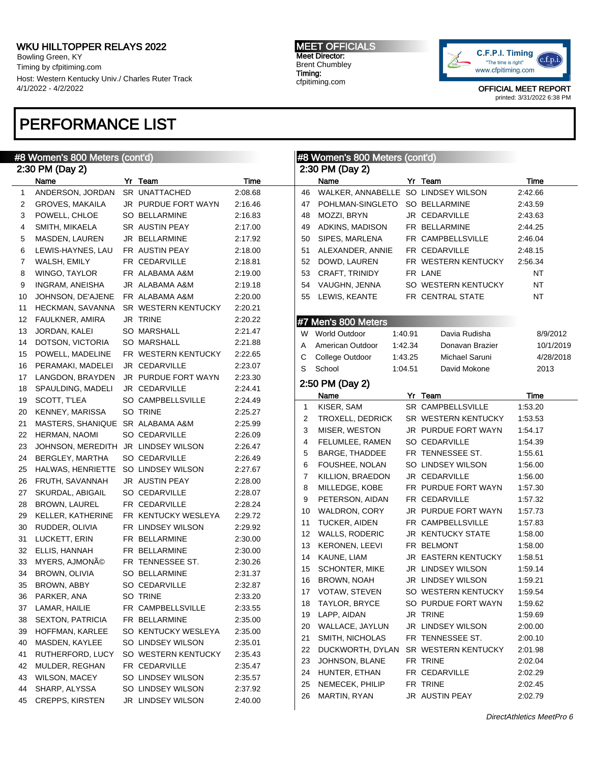Bowling Green, KY Timing by cfpitiming.com Host: Western Kentucky Univ./ Charles Ruter Track 4/1/2022 - 4/2/2022

# PERFORMANCE LIST

### #8 Women's 800 Meters (cont'd)

|    | #8 Women's 800 Meters (cont'd)      |  | #8 Women's 800 Meters (cont'd) |         |                 |                                     |         |                                          |                    |
|----|-------------------------------------|--|--------------------------------|---------|-----------------|-------------------------------------|---------|------------------------------------------|--------------------|
|    | 2:30 PM (Day 2)                     |  |                                |         | 2:30 PM (Day 2) |                                     |         |                                          |                    |
|    | Name                                |  | Yr Team                        | Time    |                 | Name                                |         | Yr Team                                  | Time               |
| 1  | ANDERSON, JORDAN                    |  | SR UNATTACHED                  | 2:08.68 | 46              | WALKER, ANNABELLE SO LINDSEY WILSON |         |                                          | 2:42.66            |
| 2  | GROVES, MAKAILA                     |  | JR PURDUE FORT WAYN            | 2:16.46 | 47              | POHLMAN-SINGLETO                    |         | SO BELLARMINE                            | 2:43.59            |
| 3  | POWELL, CHLOE                       |  | <b>SO BELLARMINE</b>           | 2:16.83 | 48              | MOZZI, BRYN                         |         | JR CEDARVILLE                            | 2:43.63            |
| 4  | SMITH, MIKAELA                      |  | SR AUSTIN PEAY                 | 2:17.00 | 49              | ADKINS, MADISON                     |         | FR BELLARMINE                            | 2:44.25            |
| 5  | MASDEN, LAUREN                      |  | JR BELLARMINE                  | 2:17.92 | 50              | SIPES, MARLENA                      |         | FR CAMPBELLSVILLE                        | 2:46.04            |
| 6  | LEWIS-HAYNES, LAU                   |  | FR AUSTIN PEAY                 | 2:18.00 | 51              | ALEXANDER, ANNIE                    |         | FR CEDARVILLE                            | 2:48.15            |
| 7  | WALSH, EMILY                        |  | FR CEDARVILLE                  | 2:18.81 | 52              | DOWD, LAUREN                        |         | FR WESTERN KENTUCKY                      | 2:56.34            |
| 8  | WINGO, TAYLOR                       |  | FR ALABAMA A&M                 | 2:19.00 | 53              | CRAFT, TRINIDY                      |         | FR LANE                                  | NT                 |
| 9  | INGRAM, ANEISHA                     |  | JR ALABAMA A&M                 | 2:19.18 | 54              | VAUGHN, JENNA                       |         | SO WESTERN KENTUCKY                      | <b>NT</b>          |
| 10 | JOHNSON, DE'AJENE                   |  | FR ALABAMA A&M                 | 2:20.00 | 55              | LEWIS, KEANTE                       |         | FR CENTRAL STATE                         | <b>NT</b>          |
| 11 | HECKMAN, SAVANNA                    |  | SR WESTERN KENTUCKY            | 2:20.21 |                 |                                     |         |                                          |                    |
| 12 | FAULKNER, AMIRA                     |  | JR TRINE                       | 2:20.22 |                 | #7 Men's 800 Meters                 |         |                                          |                    |
| 13 | JORDAN, KALEI                       |  | <b>SO MARSHALL</b>             | 2:21.47 | W               | <b>World Outdoor</b>                | 1:40.91 | Davia Rudisha                            | 8/9/2012           |
| 14 | DOTSON, VICTORIA                    |  | <b>SO MARSHALL</b>             | 2:21.88 | A               | American Outdoor                    | 1:42.34 | Donavan Brazier                          | 10/1/2019          |
| 15 | POWELL, MADELINE                    |  | FR WESTERN KENTUCKY            | 2:22.65 | С               | College Outdoor                     | 1:43.25 | Michael Saruni                           | 4/28/2018          |
| 16 | PERAMAKI, MADELEI                   |  | JR CEDARVILLE                  | 2:23.07 | S               | School                              | 1:04.51 | David Mokone                             | 2013               |
| 17 | LANGDON, BRAYDEN                    |  | JR PURDUE FORT WAYN            | 2:23.30 |                 | 2:50 PM (Day 2)                     |         |                                          |                    |
| 18 | SPAULDING, MADELI                   |  | JR CEDARVILLE                  | 2:24.41 |                 |                                     |         |                                          |                    |
| 19 | SCOTT, T'LEA                        |  | SO CAMPBELLSVILLE              | 2:24.49 |                 | Name                                |         | Yr Team                                  | Time               |
| 20 | KENNEY, MARISSA                     |  | SO TRINE                       | 2:25.27 | 1               | KISER, SAM                          |         | SR CAMPBELLSVILLE<br>SR WESTERN KENTUCKY | 1:53.20            |
| 21 | MASTERS, SHANIQUE SR ALABAMA A&M    |  |                                | 2:25.99 | 2               | TROXELL, DEDRICK<br>MISER, WESTON   |         | JR PURDUE FORT WAYN                      | 1:53.53            |
| 22 | HERMAN, NAOMI                       |  | <b>SO CEDARVILLE</b>           | 2:26.09 | 3               |                                     |         | SO CEDARVILLE                            | 1:54.17            |
| 23 | JOHNSON, MEREDITH JR LINDSEY WILSON |  |                                | 2:26.47 | 4<br>5          | FELUMLEE, RAMEN<br>BARGE, THADDEE   |         | FR TENNESSEE ST.                         | 1:54.39<br>1:55.61 |
| 24 | BERGLEY, MARTHA                     |  | <b>SO CEDARVILLE</b>           | 2:26.49 | 6               | FOUSHEE, NOLAN                      |         | SO LINDSEY WILSON                        | 1:56.00            |
| 25 | HALWAS, HENRIETTE                   |  | SO LINDSEY WILSON              | 2:27.67 | 7               | KILLION, BRAEDON                    |         | JR CEDARVILLE                            | 1:56.00            |
| 26 | FRUTH, SAVANNAH                     |  | <b>JR AUSTIN PEAY</b>          | 2:28.00 | 8               | MILLEDGE, KOBE                      |         | FR PURDUE FORT WAYN                      | 1:57.30            |
| 27 | SKURDAL, ABIGAIL                    |  | <b>SO CEDARVILLE</b>           | 2:28.07 | 9               | PETERSON, AIDAN                     |         | FR CEDARVILLE                            | 1:57.32            |
| 28 | <b>BROWN, LAUREL</b>                |  | FR CEDARVILLE                  | 2:28.24 |                 | WALDRON, CORY                       |         | JR PURDUE FORT WAYN                      | 1:57.73            |
| 29 | KELLER, KATHERINE                   |  | FR KENTUCKY WESLEYA            | 2:29.72 | 10              | TUCKER, AIDEN                       |         | FR CAMPBELLSVILLE                        | 1:57.83            |
| 30 | RUDDER, OLIVIA                      |  | FR LINDSEY WILSON              | 2:29.92 | 11              | WALLS, RODERIC                      |         | <b>JR KENTUCKY STATE</b>                 | 1:58.00            |
| 31 | LUCKETT, ERIN                       |  | FR BELLARMINE                  | 2:30.00 | 12<br>13        | <b>KERONEN, LEEVI</b>               |         | FR BELMONT                               | 1:58.00            |
| 32 | ELLIS, HANNAH                       |  | FR BELLARMINE                  | 2:30.00 | 14              | KAUNE, LIAM                         |         | JR EASTERN KENTUCKY                      | 1:58.51            |
| 33 | MYERS, AJMONÃO                      |  | FR TENNESSEE ST.               | 2:30.26 | 15              | <b>SCHONTER, MIKE</b>               |         | <b>JR LINDSEY WILSON</b>                 | 1:59.14            |
| 34 | BROWN, OLIVIA                       |  | <b>SO BELLARMINE</b>           | 2:31.37 | 16              | BROWN, NOAH                         |         | <b>JR LINDSEY WILSON</b>                 | 1:59.21            |
| 35 | BROWN, ABBY                         |  | SO CEDARVILLE                  | 2:32.87 |                 | 17 VOTAW, STEVEN                    |         | SO WESTERN KENTUCKY                      | 1:59.54            |
| 36 | PARKER, ANA                         |  | SO TRINE                       | 2:33.20 | 18              | TAYLOR, BRYCE                       |         | SO PURDUE FORT WAYN                      | 1:59.62            |
| 37 | LAMAR, HAILIE                       |  | FR CAMPBELLSVILLE              | 2:33.55 | 19              | LAPP, AIDAN                         |         | JR TRINE                                 | 1:59.69            |
| 38 | <b>SEXTON, PATRICIA</b>             |  | FR BELLARMINE                  | 2:35.00 | 20              | WALLACE, JAYLUN                     |         | JR LINDSEY WILSON                        | 2:00.00            |
| 39 | HOFFMAN, KARLEE                     |  | SO KENTUCKY WESLEYA            | 2:35.00 | 21              | SMITH, NICHOLAS                     |         | FR TENNESSEE ST.                         | 2:00.10            |
| 40 | MASDEN, KAYLEE                      |  | SO LINDSEY WILSON              | 2:35.01 | 22              |                                     |         |                                          |                    |
| 41 | RUTHERFORD, LUCY                    |  | SO WESTERN KENTUCKY            | 2:35.43 |                 | DUCKWORTH, DYLAN<br>JOHNSON, BLANE  |         | SR WESTERN KENTUCKY<br>FR TRINE          | 2:01.98<br>2:02.04 |
| 42 | MULDER, REGHAN                      |  | FR CEDARVILLE                  | 2:35.47 | 23              | HUNTER, ETHAN                       |         | FR CEDARVILLE                            |                    |
| 43 | <b>WILSON, MACEY</b>                |  | SO LINDSEY WILSON              | 2:35.57 | 24              | NEMECEK, PHILIP                     |         | FR TRINE                                 | 2:02.29<br>2:02.45 |
| 44 | SHARP, ALYSSA                       |  | SO LINDSEY WILSON              | 2:37.92 | 25<br>26        | MARTIN, RYAN                        |         | JR AUSTIN PEAY                           | 2:02.79            |
| 45 | CREPPS, KIRSTEN                     |  | JR LINDSEY WILSON              | 2:40.00 |                 |                                     |         |                                          |                    |
|    |                                     |  |                                |         |                 |                                     |         |                                          |                    |

DirectAthletics MeetPro 6



OFFICIAL MEET REPORT printed: 3/31/2022 6:38 PM

#### MEET OFFICIALS Meet Director: Brent Chumbley Timing: cfpitiming.com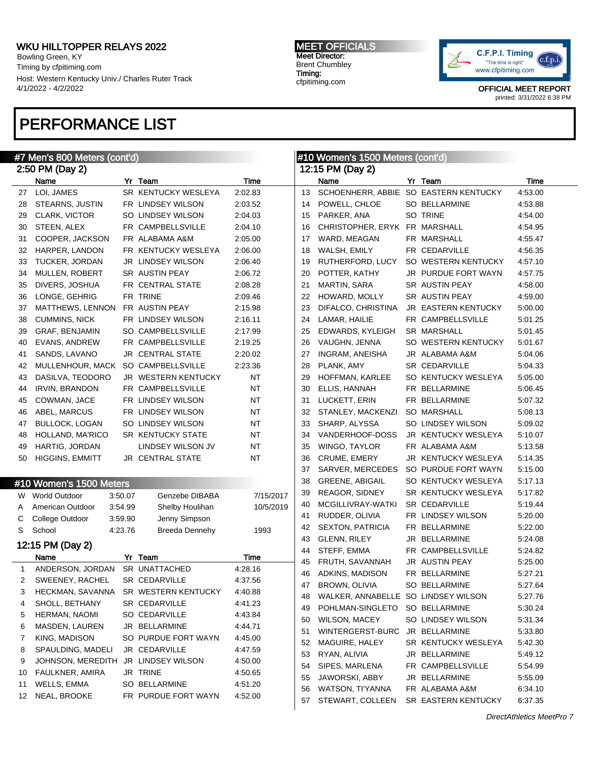Bowling Green, KY Timing by cfpitiming.com Host: Western Kentucky Univ./ Charles Ruter Track 4/1/2022 - 4/2/2022

# PERFORMANCE LIST

MEET OFFICIALS Meet Director: Brent Chumbley Timing: cfpitiming.com



|                 | #7 Men's 800 Meters (cont'd)        |         |                                      |           | #10 Women's 1500 Meters (cont'd) |                                       |  |                            |         |
|-----------------|-------------------------------------|---------|--------------------------------------|-----------|----------------------------------|---------------------------------------|--|----------------------------|---------|
|                 | 2:50 PM (Day 2)                     |         |                                      |           | 12:15 PM (Day 2)                 |                                       |  |                            |         |
|                 | Name                                |         | Yr Team                              | Time      |                                  | Name                                  |  | Yr Team                    | Time    |
| 27              | LOI, JAMES                          |         | SR KENTUCKY WESLEYA                  | 2:02.83   | 13                               | SCHOENHERR, ABBIE SO EASTERN KENTUCKY |  |                            | 4:53.00 |
| 28              | STEARNS, JUSTIN                     |         | FR LINDSEY WILSON                    | 2:03.52   | 14                               | POWELL, CHLOE                         |  | SO BELLARMINE              | 4:53.88 |
| 29              | CLARK, VICTOR                       |         | SO LINDSEY WILSON                    | 2:04.03   | 15                               | PARKER, ANA                           |  | SO TRINE                   | 4:54.00 |
| 30              | STEEN, ALEX                         |         | FR CAMPBELLSVILLE                    | 2:04.10   | 16                               | CHRISTOPHER, ERYK FR MARSHALL         |  |                            | 4:54.95 |
| 31              | COOPER, JACKSON                     |         | FR ALABAMA A&M                       | 2:05.00   | 17                               | WARD, MEAGAN                          |  | FR MARSHALL                | 4:55.47 |
| 32              | HARPER, LANDON                      |         | FR KENTUCKY WESLEYA                  | 2:06.00   | 18                               | WALSH, EMILY                          |  | FR CEDARVILLE              | 4:56.35 |
| 33              | TUCKER, JORDAN                      |         | <b>JR LINDSEY WILSON</b>             | 2:06.40   | 19                               | RUTHERFORD, LUCY                      |  | SO WESTERN KENTUCKY        | 4:57.10 |
| 34              | MULLEN, ROBERT                      |         | SR AUSTIN PEAY                       | 2:06.72   | 20                               | POTTER, KATHY                         |  | JR PURDUE FORT WAYN        | 4:57.75 |
| 35              | DIVERS, JOSHUA                      |         | FR CENTRAL STATE                     | 2:08.28   | 21                               | <b>MARTIN, SARA</b>                   |  | SR AUSTIN PEAY             | 4:58.00 |
| 36              | LONGE, GEHRIG                       |         | FR TRINE                             | 2:09.46   | 22                               | HOWARD, MOLLY                         |  | SR AUSTIN PEAY             | 4:59.00 |
| 37              | MATTHEWS, LENNON                    |         | FR AUSTIN PEAY                       | 2:15.98   | 23                               | DIFALCO, CHRISTINA                    |  | JR EASTERN KENTUCKY        | 5:00.00 |
| 38              | <b>CUMMINS, NICK</b>                |         | FR LINDSEY WILSON                    | 2:16.11   | 24                               | LAMAR, HAILIE                         |  | FR CAMPBELLSVILLE          | 5:01.25 |
| 39              | GRAF, BENJAMIN                      |         | SO CAMPBELLSVILLE                    | 2:17.99   | 25                               | EDWARDS, KYLEIGH                      |  | <b>SR MARSHALL</b>         | 5:01.45 |
| 40              | <b>EVANS, ANDREW</b>                |         | FR CAMPBELLSVILLE                    | 2:19.25   | 26                               | VAUGHN, JENNA                         |  | SO WESTERN KENTUCKY        | 5:01.67 |
| 41              | SANDS, LAVANO                       |         | JR CENTRAL STATE                     | 2:20.02   | 27                               | <b>INGRAM, ANEISHA</b>                |  | JR ALABAMA A&M             | 5:04.06 |
| 42              | MULLENHOUR, MACK                    |         | SO CAMPBELLSVILLE                    | 2:23.36   | 28                               | PLANK, AMY                            |  | <b>SR CEDARVILLE</b>       | 5:04.33 |
| 43              | DASILVA, TEODORO                    |         | JR WESTERN KENTUCKY                  | NT        | 29                               | HOFFMAN, KARLEE                       |  | SO KENTUCKY WESLEYA        | 5:05.00 |
| 44              | <b>IRVIN, BRANDON</b>               |         | FR CAMPBELLSVILLE                    | <b>NT</b> | 30                               | ELLIS, HANNAH                         |  | FR BELLARMINE              | 5:06.45 |
| 45              | COWMAN, JACE                        |         | FR LINDSEY WILSON                    | <b>NT</b> | 31                               | LUCKETT, ERIN                         |  | FR BELLARMINE              | 5:07.32 |
| 46              | ABEL, MARCUS                        |         | FR LINDSEY WILSON                    | <b>NT</b> | 32                               | STANLEY, MACKENZI                     |  | <b>SO MARSHALL</b>         | 5:08.13 |
| 47              | <b>BULLOCK, LOGAN</b>               |         | SO LINDSEY WILSON                    | <b>NT</b> | 33                               | SHARP, ALYSSA                         |  | SO LINDSEY WILSON          | 5:09.02 |
| 48              | HOLLAND, MA'RICO                    |         | SR KENTUCKY STATE                    | <b>NT</b> | 34                               | VANDERHOOF-DOSS                       |  | JR KENTUCKY WESLEYA        | 5:10.07 |
| 49              | HARTIG, JORDAN                      |         | LINDSEY WILSON JV                    | <b>NT</b> | 35                               | WINGO, TAYLOR                         |  | FR ALABAMA A&M             | 5:13.58 |
| 50              | <b>HIGGINS, EMMITT</b>              |         | JR CENTRAL STATE                     | <b>NT</b> | 36                               | CRUME, EMERY                          |  | JR KENTUCKY WESLEYA        | 5:14.35 |
|                 |                                     |         |                                      |           | 37                               | SARVER, MERCEDES                      |  | SO PURDUE FORT WAYN        | 5:15.00 |
|                 |                                     |         |                                      |           | 38                               | <b>GREENE, ABIGAIL</b>                |  | SO KENTUCKY WESLEYA        | 5:17.13 |
|                 | #10 Women's 1500 Meters             |         |                                      |           | 39                               | <b>REAGOR, SIDNEY</b>                 |  | SR KENTUCKY WESLEYA        | 5:17.82 |
|                 | W World Outdoor                     | 3:50.07 | Genzebe DIBABA                       | 7/15/2017 | 40                               | MCGILLIVRAY-WATKI                     |  | <b>SR CEDARVILLE</b>       | 5:19.44 |
| A               | American Outdoor                    | 3:54.99 | Shelby Houlihan                      | 10/5/2019 | 41                               | RUDDER, OLIVIA                        |  | FR LINDSEY WILSON          | 5:20.00 |
| С               | College Outdoor                     | 3:59.90 | Jenny Simpson                        |           | 42                               | <b>SEXTON, PATRICIA</b>               |  | FR BELLARMINE              | 5:22.00 |
| S               | School                              | 4:23.76 | Breeda Dennehy                       | 1993      | 43                               | <b>GLENN, RILEY</b>                   |  | JR BELLARMINE              | 5:24.08 |
|                 | 12:15 PM (Day 2)                    |         |                                      |           | 44                               | STEFF, EMMA                           |  | FR CAMPBELLSVILLE          | 5:24.82 |
|                 | Name                                |         | Yr Team                              | Time      | 45                               | FRUTH, SAVANNAH                       |  | <b>JR AUSTIN PEAY</b>      | 5:25.00 |
| 1               | ANDERSON, JORDAN                    |         | SR UNATTACHED                        | 4:28.16   | 46                               | ADKINS, MADISON                       |  | FR BELLARMINE              | 5:27.21 |
| 2               | SWEENEY, RACHEL                     |         | <b>SR CEDARVILLE</b>                 | 4:37.56   |                                  | 47 BROWN, OLIVIA                      |  | SO BELLARMINE              | 5:27.64 |
| З               |                                     |         | HECKMAN, SAVANNA SR WESTERN KENTUCKY | 4:40.88   | 48                               | WALKER, ANNABELLE SO LINDSEY WILSON   |  |                            | 5:27.76 |
| 4               | SHOLL, BETHANY                      |         | SR CEDARVILLE                        | 4:41.23   | 49                               | POHLMAN-SINGLETO SO BELLARMINE        |  |                            | 5:30.24 |
| 5               | HERMAN, NAOMI                       |         | SO CEDARVILLE                        | 4:43.84   | 50                               | WILSON, MACEY                         |  | SO LINDSEY WILSON          | 5:31.34 |
| 6               | MASDEN, LAUREN                      |         | JR BELLARMINE                        | 4:44.71   |                                  | WINTERGERST-BURC                      |  | JR BELLARMINE              | 5:33.80 |
| 7               | KING, MADISON                       |         | SO PURDUE FORT WAYN                  | 4:45.00   | 51                               | MAGUIRE, HALEY                        |  |                            |         |
| 8               | SPAULDING, MADELI                   |         | JR CEDARVILLE                        | 4:47.59   | 52                               |                                       |  | SR KENTUCKY WESLEYA        | 5:42.30 |
| 9               | JOHNSON, MEREDITH JR LINDSEY WILSON |         |                                      | 4:50.00   | 53                               | RYAN, ALIVIA                          |  | JR BELLARMINE              | 5:49.12 |
| 10              | FAULKNER, AMIRA                     |         | JR TRINE                             | 4:50.65   | 54                               | SIPES, MARLENA                        |  | FR CAMPBELLSVILLE          | 5:54.99 |
| 11              | WELLS, EMMA                         |         | SO BELLARMINE                        | 4:51.20   | 55                               | JAWORSKI, ABBY                        |  | JR BELLARMINE              | 5:55.09 |
| 12 <sup>2</sup> | NEAL, BROOKE                        |         | FR PURDUE FORT WAYN                  | 4:52.00   | 56                               | WATSON, TI'YANNA                      |  | FR ALABAMA A&M             | 6:34.10 |
|                 |                                     |         |                                      |           | 57                               | STEWART, COLLEEN                      |  | <b>SR EASTERN KENTUCKY</b> | 6:37.35 |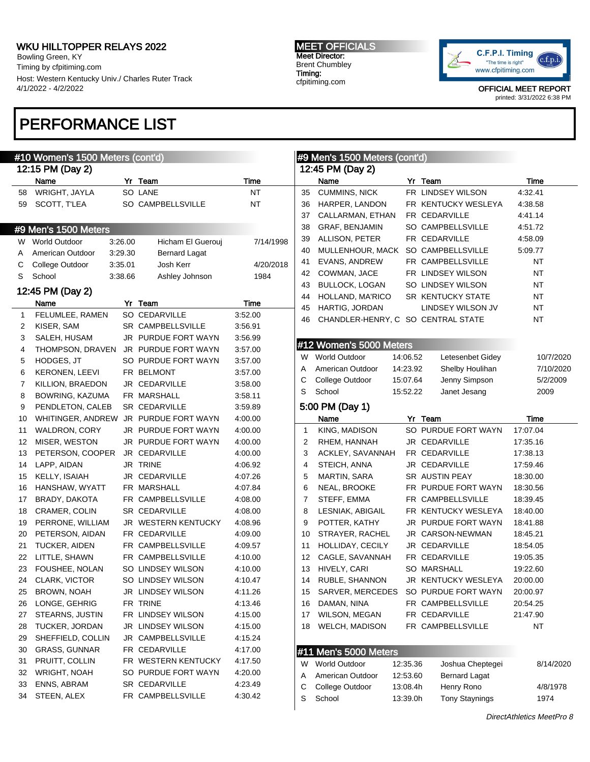Bowling Green, KY Timing by cfpitiming.com Host: Western Kentucky Univ./ Charles Ruter Track 4/1/2022 - 4/2/2022

# PERFORMANCE LIST

#### MEET OFFICIALS Meet Director: Brent Chumbley Timing: cfpitiming.com



|              | #10 Women's 1500 Meters (cont'd) |         |                                             | #9 Men's 1500 Meters (cont'd) |                  |                                    |          |                                                           |                      |
|--------------|----------------------------------|---------|---------------------------------------------|-------------------------------|------------------|------------------------------------|----------|-----------------------------------------------------------|----------------------|
|              | 12:15 PM (Day 2)                 |         |                                             |                               | 12:45 PM (Day 2) |                                    |          |                                                           |                      |
|              | Name                             |         | Yr Team                                     | Time                          |                  | Name                               |          | Yr Team                                                   | Time                 |
| 58           | WRIGHT, JAYLA                    |         | SO LANE                                     | <b>NT</b>                     | 35               | <b>CUMMINS, NICK</b>               |          | FR LINDSEY WILSON                                         | 4:32.41              |
| 59           | SCOTT, T'LEA                     |         | SO CAMPBELLSVILLE                           | ΝT                            | 36               | HARPER, LANDON                     |          | FR KENTUCKY WESLEYA                                       | 4:38.58              |
|              |                                  |         |                                             |                               | 37               | CALLARMAN, ETHAN                   |          | FR CEDARVILLE                                             | 4:41.14              |
|              | #9 Men's 1500 Meters             |         |                                             |                               | 38               | GRAF, BENJAMIN                     |          | SO CAMPBELLSVILLE                                         | 4:51.72              |
| W            | World Outdoor                    | 3:26.00 | Hicham El Guerouj                           | 7/14/1998                     | 39               | ALLISON, PETER                     |          | FR CEDARVILLE                                             | 4:58.09              |
| A            | American Outdoor                 | 3:29.30 | <b>Bernard Lagat</b>                        |                               | 40               | MULLENHOUR, MACK                   |          | SO CAMPBELLSVILLE                                         | 5:09.77              |
| С            | College Outdoor                  | 3:35.01 | Josh Kerr                                   | 4/20/2018                     | 41               | EVANS, ANDREW                      |          | FR CAMPBELLSVILLE                                         | ΝT                   |
| S            | School                           | 3:38.66 | Ashley Johnson                              | 1984                          | 42               | COWMAN, JACE                       |          | FR LINDSEY WILSON                                         | <b>NT</b>            |
|              |                                  |         |                                             |                               | 43               | <b>BULLOCK, LOGAN</b>              |          | SO LINDSEY WILSON                                         | <b>NT</b>            |
|              | 12:45 PM (Day 2)                 |         |                                             |                               | 44               | HOLLAND, MA'RICO                   |          | SR KENTUCKY STATE                                         | <b>NT</b>            |
|              | Name                             |         | Yr Team                                     | Time                          | 45               | HARTIG, JORDAN                     |          | LINDSEY WILSON JV                                         | <b>NT</b>            |
| $\mathbf{1}$ | FELUMLEE, RAMEN                  |         | SO CEDARVILLE                               | 3:52.00                       | 46               | CHANDLER-HENRY, C SO CENTRAL STATE |          |                                                           | <b>NT</b>            |
| 2            | KISER, SAM                       |         | SR CAMPBELLSVILLE                           | 3:56.91                       |                  |                                    |          |                                                           |                      |
| 3            | SALEH, HUSAM                     |         | JR PURDUE FORT WAYN                         | 3:56.99                       |                  | #12 Women's 5000 Meters            |          |                                                           |                      |
| 4            | THOMPSON, DRAVEN                 |         | JR PURDUE FORT WAYN                         | 3:57.00                       | W.               | <b>World Outdoor</b>               | 14:06.52 | Letesenbet Gidey                                          | 10/7/2020            |
| 5            | HODGES, JT                       |         | SO PURDUE FORT WAYN                         | 3:57.00                       | A                | American Outdoor                   | 14:23.92 | Shelby Houlihan                                           | 7/10/2020            |
| 6            | <b>KERONEN, LEEVI</b>            |         | FR BELMONT                                  | 3:57.00                       | С                | College Outdoor                    | 15:07.64 | Jenny Simpson                                             | 5/2/2009             |
| 7            | KILLION, BRAEDON                 |         | JR CEDARVILLE                               | 3:58.00                       | S                | School                             | 15:52.22 | Janet Jesang                                              | 2009                 |
| 8            | BOWRING, KAZUMA                  |         | FR MARSHALL                                 | 3:58.11                       |                  |                                    |          |                                                           |                      |
| 9            | PENDLETON, CALEB                 |         | <b>SR CEDARVILLE</b>                        | 3:59.89                       |                  | 5:00 PM (Day 1)                    |          |                                                           |                      |
| 10           | WHITINGER, ANDREW                |         | JR PURDUE FORT WAYN                         | 4:00.00                       |                  | Name                               |          | Yr Team<br>SO PURDUE FORT WAYN                            | Time                 |
| 11           | WALDRON, CORY                    |         | JR PURDUE FORT WAYN                         | 4:00.00                       | 1                | KING, MADISON                      |          |                                                           | 17:07.04             |
| 12           | MISER, WESTON                    |         | JR PURDUE FORT WAYN                         | 4:00.00                       | 2                | RHEM, HANNAH                       |          | JR CEDARVILLE                                             | 17:35.16             |
| 13           | PETERSON, COOPER                 |         | JR CEDARVILLE<br>JR TRINE                   | 4:00.00                       | 3                | ACKLEY, SAVANNAH                   |          | FR CEDARVILLE                                             | 17:38.13             |
| 14           | LAPP, AIDAN                      |         |                                             | 4:06.92                       | 4                | STEICH, ANNA                       |          | JR CEDARVILLE                                             | 17:59.46             |
| 15           | KELLY, ISAIAH                    |         | JR CEDARVILLE                               | 4:07.26                       | 5                | MARTIN, SARA                       |          | SR AUSTIN PEAY                                            | 18:30.00             |
| 16           | HANSHAW, WYATT                   |         | FR MARSHALL                                 | 4:07.84                       | 6                | NEAL, BROOKE                       |          | FR PURDUE FORT WAYN                                       | 18:30.56             |
| 17           | BRADY, DAKOTA                    |         | FR CAMPBELLSVILLE                           | 4:08.00                       | 7                | STEFF, EMMA                        |          | FR CAMPBELLSVILLE                                         | 18:39.45             |
| 18           | CRAMER, COLIN                    |         | <b>SR CEDARVILLE</b><br>JR WESTERN KENTUCKY | 4:08.00                       | 8                | LESNIAK, ABIGAIL                   |          | FR KENTUCKY WESLEYA                                       | 18:40.00<br>18:41.88 |
| 19           | PERRONE, WILLIAM                 |         |                                             | 4:08.96                       | 9                | POTTER, KATHY                      |          | JR PURDUE FORT WAYN                                       |                      |
| 20           | PETERSON, AIDAN                  |         | FR CEDARVILLE                               | 4:09.00                       | 10               | STRAYER, RACHEL                    |          | JR CARSON-NEWMAN                                          | 18:45.21             |
| 21           | TUCKER, AIDEN                    |         | FR CAMPBELLSVILLE<br>FR CAMPBELLSVILLE      | 4:09.57                       | 11               | HOLLIDAY, CECILY                   |          | JR CEDARVILLE                                             | 18:54.05             |
| 22           | LITTLE, SHAWN<br>FOUSHEE, NOLAN  |         | SO LINDSEY WILSON                           | 4:10.00                       | 12               | CAGLE, SAVANNAH<br>HIVELY, CARI    |          | FR CEDARVILLE<br><b>SO MARSHALL</b>                       | 19:05.35<br>19:22.60 |
| 23           |                                  |         | SO LINDSEY WILSON                           | 4:10.00                       | 13               | 14 RUBLE, SHANNON                  |          | JR KENTUCKY WESLEYA                                       |                      |
|              | 24 CLARK, VICTOR                 |         |                                             | 4:10.47                       |                  |                                    |          |                                                           | 20:00.00             |
| 25           | BROWN, NOAH                      |         | JR LINDSEY WILSON<br>FR TRINE               | 4:11.26                       | 15               |                                    |          | SARVER, MERCEDES SO PURDUE FORT WAYN<br>FR CAMPBELLSVILLE | 20:00.97             |
| 26           | LONGE, GEHRIG<br>STEARNS, JUSTIN |         | FR LINDSEY WILSON                           | 4:13.46                       | 16               | DAMAN, NINA<br>WILSON, MEGAN       |          | FR CEDARVILLE                                             | 20:54.25<br>21:47.90 |
| 27           |                                  |         |                                             | 4:15.00                       | 17               |                                    |          | FR CAMPBELLSVILLE                                         |                      |
| 28           | TUCKER, JORDAN                   |         | JR LINDSEY WILSON                           | 4:15.00                       | 18               | WELCH, MADISON                     |          |                                                           | <b>NT</b>            |
| 29           | SHEFFIELD, COLLIN                |         | JR CAMPBELLSVILLE                           | 4:15.24                       |                  |                                    |          |                                                           |                      |
| 30           | <b>GRASS, GUNNAR</b>             |         | FR CEDARVILLE                               | 4:17.00                       |                  | #11 Men's 5000 Meters              |          |                                                           |                      |
| 31           | PRUITT, COLLIN                   |         | FR WESTERN KENTUCKY<br>SO PURDUE FORT WAYN  | 4:17.50                       | W                | <b>World Outdoor</b>               | 12:35.36 | Joshua Cheptegei                                          | 8/14/2020            |
| 32           | WRIGHT, NOAH                     |         |                                             | 4:20.00                       | A                | American Outdoor                   | 12:53.60 | <b>Bernard Lagat</b>                                      |                      |
| 33<br>34     | ENNS, ABRAM<br>STEEN, ALEX       |         | SR CEDARVILLE<br>FR CAMPBELLSVILLE          | 4:23.49<br>4:30.42            | С                | College Outdoor                    | 13:08.4h | Henry Rono                                                | 4/8/1978             |
|              |                                  |         |                                             |                               | S                | School                             | 13:39.0h | <b>Tony Staynings</b>                                     | 1974                 |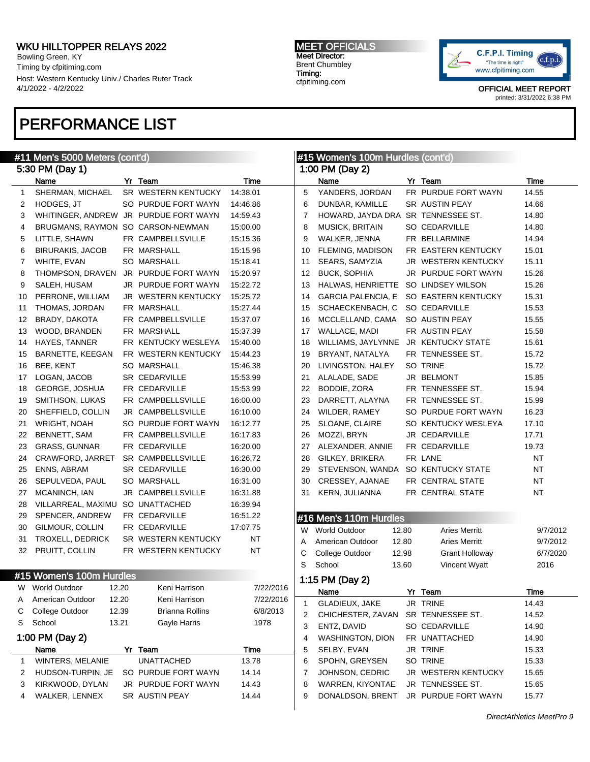Bowling Green, KY Timing by cfpitiming.com Host: Western Kentucky Univ./ Charles Ruter Track 4/1/2022 - 4/2/2022

## PERFORMANCE LIST

#### #11 Men's 5000 Meters (cont'd) 5:30 PM (Day 1) Name Yr Team Time 1 SHERMAN, MICHAEL SR WESTERN KENTUCKY 14:38.01 2 HODGES, JT SO PURDUE FORT WAYN 14:46.86 3 WHITINGER, ANDREW JR PURDUE FORT WAYN 14:59.43 4 BRUGMANS, RAYMON SO CARSON-NEWMAN 15:00.00 5 LITTLE, SHAWN FR CAMPBELLSVILLE 15:15.36 6 BIRURAKIS, JACOB FR MARSHALL 15:15.96 7 WHITE, EVAN SO MARSHALL 15:18.41 8 THOMPSON, DRAVEN JR PURDUE FORT WAYN 15:20.97 9 SALEH, HUSAM JR PURDUE FORT WAYN 15:22.72 10 PERRONE, WILLIAM JR WESTERN KENTUCKY 15:25.72 11 THOMAS, JORDAN FR MARSHALL 15:27.44 12 BRADY, DAKOTA FR CAMPBELLSVILLE 15:37.07 13 WOOD, BRANDEN FR MARSHALL 15:37.39 14 HAYES, TANNER FR KENTUCKY WESLEYA 15:40.00 15 BARNETTE, KEEGAN FR WESTERN KENTUCKY 15:44.23 16 BEE, KENT SO MARSHALL 15:46.38 17 LOGAN, JACOB SR CEDARVILLE 15:53.99 18 GEORGE, JOSHUA FR CEDARVILLE 15:53.99 19 SMITHSON, LUKAS FR CAMPBELLSVILLE 16:00.00 20 SHEFFIELD, COLLIN JR CAMPBELLSVILLE 16:10.00 21 WRIGHT, NOAH SO PURDUE FORT WAYN 16:12.77 22 BENNETT, SAM FR CAMPBELLSVILLE 16:17.83 23 GRASS, GUNNAR FR CEDARVILLE 16:20.00 24 CRAWFORD, JARRET SR CAMPBELLSVILLE 16:26.72 25 ENNS, ABRAM SR CEDARVILLE 16:30.00 26 SEPULVEDA, PAUL SO MARSHALL 16:31.00 27 MCANINCH, IAN JR CAMPBELLSVILLE 16:31.88 28 VILLARREAL, MAXIMU SO UNATTACHED 16:39.94 29 SPENCER, ANDREW FR CEDARVILLE 16:51.22 30 GILMOUR, COLLIN FR CEDARVILLE 17:07.75 31 TROXELL, DEDRICK SR WESTERN KENTUCKY NT 32 PRUITT, COLLIN FR WESTERN KENTUCKY NT #15 Women's 100m Hurdles W World Outdoor 12.20 Keni Harrison 7/22/2016 A American Outdoor 12.20 Keni Harrison 7/22/2016 C College Outdoor 12.39 Brianna Rollins 6/8/2013 S School 13.21 Gayle Harris 1978 1:00 PM (Day 2) Name Yr Team Time 1 WINTERS, MELANIE UNATTACHED 13.78 2 HUDSON-TURPIN, JE SO PURDUE FORT WAYN 14.14 3 KIRKWOOD, DYLAN JR PURDUE FORT WAYN 14.43 4 WALKER, LENNEX SR AUSTIN PEAY 14.44 #15 Women's 100m Hurdles (cont'd) 1:00 PM (Day 2) Name **Yr Team Time** 5 YANDERS, JORDAN FR PURDUE FORT WAYN 14.55 6 DUNBAR, KAMILLE SR AUSTIN PEAY 14.66 7 HOWARD, JAYDA DRA SR TENNESSEE ST. 14.80 8 MUSICK, BRITAIN SO CEDARVILLE 14.80 9 WALKER, JENNA FR BELLARMINE 14.94 10 FLEMING, MADISON FR EASTERN KENTUCKY 15.01 11 SEARS, SAMYZIA JR WESTERN KENTUCKY 15.11 12 BUCK, SOPHIA JR PURDUE FORT WAYN 15.26 13 HALWAS, HENRIETTE SO LINDSEY WILSON 15.26 14 GARCIA PALENCIA, E SO EASTERN KENTUCKY 15.31 15 SCHAECKENBACH, C SO CEDARVILLE 15.53 16 MCCLELLAND, CAMA SO AUSTIN PEAY 15.55 17 WALLACE, MADI FR AUSTIN PEAY 15.58 18 WILLIAMS, JAYLYNNE JR KENTUCKY STATE 15.61 19 BRYANT, NATALYA FR TENNESSEE ST. 15.72 20 LIVINGSTON, HALEY SO TRINE 15.72 21 ALALADE, SADE JR BELMONT 15.85 22 BODDIE, ZORA FR TENNESSEE ST. 15.94 23 DARRETT, ALAYNA FR TENNESSEE ST. 15.99 24 WILDER, RAMEY SO PURDUE FORT WAYN 16.23 25 SLOANE, CLAIRE SO KENTUCKY WESLEYA 17.10 26 MOZZI, BRYN JR CEDARVILLE 17.71 27 ALEXANDER, ANNIE FR CEDARVILLE 19.73 28 GILKEY, BRIKERA FR LANE NT 29 STEVENSON, WANDA SO KENTUCKY STATE NT 30 CRESSEY, AJANAE FR CENTRAL STATE NT 31 KERN, JULIANNA FR CENTRAL STATE NT #16 Men's 110m Hurdles W World Outdoor 12.80 Aries Merritt 9/7/2012 A American Outdoor 12.80 Aries Merritt 9/7/2012 C College Outdoor 12.98 Grant Holloway 6/7/2020 S School 13.60 Vincent Wyatt 2016 1:15 PM (Day 2) Name **Yr Team Time** 1 GLADIEUX, JAKE JR TRINE 14.43 2 CHICHESTER, ZAVAN SR TENNESSEE ST. 14.52 3 ENTZ, DAVID SO CEDARVILLE 14.90 4 WASHINGTON, DION FR UNATTACHED 14.90 5 SELBY, EVAN JR TRINE 15.33 6 SPOHN, GREYSEN SO TRINE 15.33 7 JOHNSON, CEDRIC JR WESTERN KENTUCKY 15.65 8 WARREN, KIYONTAE JR TENNESSEE ST. 15.65 9 DONALDSON, BRENT JR PURDUE FORT WAYN 15.77

MEET OFFICIALS Meet Director: Brent Chumbley Timing: cfpitiming.com

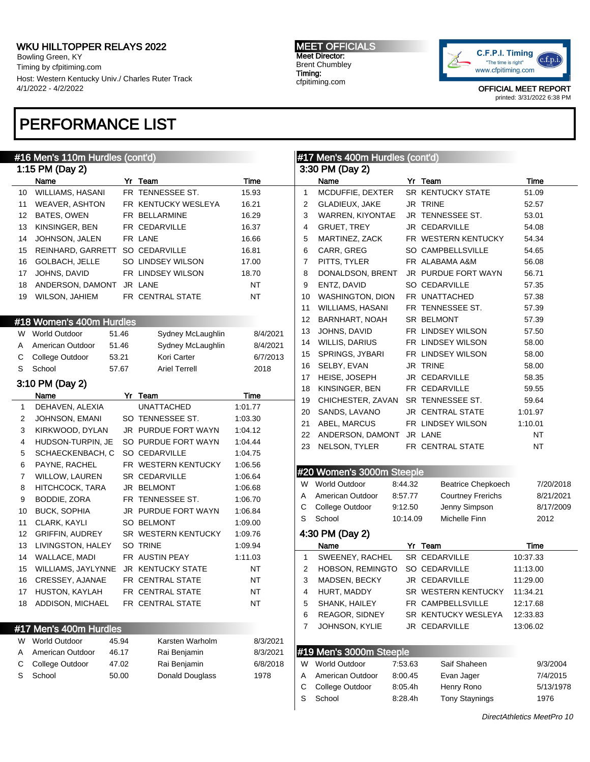Bowling Green, KY Timing by cfpitiming.com Host: Western Kentucky Univ./ Charles Ruter Track 4/1/2022 - 4/2/2022

# PERFORMANCE LIST

#### MEET OFFICIALS Meet Director: Brent Chumbley Timing: cfpitiming.com



|              | #16 Men's 110m Hurdles (cont'd) |       |                      |           |                | #17 Men's 400m Hurdles (cont'd) |          |                           |           |
|--------------|---------------------------------|-------|----------------------|-----------|----------------|---------------------------------|----------|---------------------------|-----------|
|              | 1:15 PM (Day 2)                 |       |                      |           |                | 3:30 PM (Day 2)                 |          |                           |           |
|              | Name                            |       | Yr Team              | Time      |                | Name                            |          | Yr Team                   | Time      |
| 10           | WILLIAMS, HASANI                |       | FR TENNESSEE ST.     | 15.93     | $\mathbf{1}$   | MCDUFFIE, DEXTER                |          | SR KENTUCKY STATE         | 51.09     |
| 11           | <b>WEAVER, ASHTON</b>           |       | FR KENTUCKY WESLEYA  | 16.21     | 2              | <b>GLADIEUX, JAKE</b>           |          | JR TRINE                  | 52.57     |
| 12           | <b>BATES, OWEN</b>              |       | FR BELLARMINE        | 16.29     | 3              | WARREN, KIYONTAE                |          | JR TENNESSEE ST.          | 53.01     |
| 13           | KINSINGER, BEN                  |       | FR CEDARVILLE        | 16.37     | 4              | <b>GRUET, TREY</b>              |          | JR CEDARVILLE             | 54.08     |
| 14           | JOHNSON, JALEN                  |       | FR LANE              | 16.66     | 5              | MARTINEZ, ZACK                  |          | FR WESTERN KENTUCKY       | 54.34     |
| 15           | REINHARD, GARRETT               |       | <b>SO CEDARVILLE</b> | 16.81     | 6              | CARR, GREG                      |          | SO CAMPBELLSVILLE         | 54.65     |
| 16           | GOLBACH, JELLE                  |       | SO LINDSEY WILSON    | 17.00     | 7              | PITTS, TYLER                    |          | FR ALABAMA A&M            | 56.08     |
| 17           | JOHNS, DAVID                    |       | FR LINDSEY WILSON    | 18.70     | 8              | DONALDSON, BRENT                |          | JR PURDUE FORT WAYN       | 56.71     |
| 18           | ANDERSON, DAMONT                |       | JR LANE              | <b>NT</b> | 9              | ENTZ, DAVID                     |          | SO CEDARVILLE             | 57.35     |
| 19           | WILSON, JAHIEM                  |       | FR CENTRAL STATE     | NT        | 10             | <b>WASHINGTON, DION</b>         |          | FR UNATTACHED             | 57.38     |
|              |                                 |       |                      |           | 11             | WILLIAMS, HASANI                |          | FR TENNESSEE ST.          | 57.39     |
|              | #18 Women's 400m Hurdles        |       |                      |           | 12             | BARNHART, NOAH                  |          | SR BELMONT                | 57.39     |
| W            | <b>World Outdoor</b>            | 51.46 | Sydney McLaughlin    | 8/4/2021  | 13             | JOHNS, DAVID                    |          | FR LINDSEY WILSON         | 57.50     |
| A            | American Outdoor                | 51.46 | Sydney McLaughlin    | 8/4/2021  | 14             | <b>WILLIS, DARIUS</b>           |          | FR LINDSEY WILSON         | 58.00     |
| С            | College Outdoor<br>53.21        |       | Kori Carter          | 6/7/2013  | 15             | SPRINGS, JYBARI                 |          | FR LINDSEY WILSON         | 58.00     |
| S            | School                          | 57.67 | <b>Ariel Terrell</b> | 2018      | 16             | SELBY, EVAN                     |          | JR TRINE                  | 58.00     |
|              | 3:10 PM (Day 2)                 |       |                      |           | 17             | HEISE, JOSEPH                   |          | JR CEDARVILLE             | 58.35     |
|              | Name                            |       | Yr Team              | Time      | 18             | KINSINGER, BEN                  |          | FR CEDARVILLE             | 59.55     |
| $\mathbf{1}$ | DEHAVEN, ALEXIA                 |       | <b>UNATTACHED</b>    | 1:01.77   | 19             | CHICHESTER, ZAVAN               |          | SR TENNESSEE ST.          | 59.64     |
| 2            | JOHNSON, EMANI                  |       | SO TENNESSEE ST.     | 1:03.30   | 20             | SANDS, LAVANO                   |          | JR CENTRAL STATE          | 1:01.97   |
| 3            | KIRKWOOD, DYLAN                 |       | JR PURDUE FORT WAYN  | 1:04.12   | 21             | ABEL, MARCUS                    |          | FR LINDSEY WILSON         | 1:10.01   |
| 4            | HUDSON-TURPIN, JE               |       | SO PURDUE FORT WAYN  | 1:04.44   | 22             | ANDERSON, DAMONT                |          | JR LANE                   | <b>NT</b> |
| 5            | SCHAECKENBACH, C                |       | <b>SO CEDARVILLE</b> | 1:04.75   | 23             | NELSON, TYLER                   |          | FR CENTRAL STATE          | <b>NT</b> |
| 6            | PAYNE, RACHEL                   |       | FR WESTERN KENTUCKY  | 1:06.56   |                |                                 |          |                           |           |
| 7            | <b>WILLOW, LAUREN</b>           |       | <b>SR CEDARVILLE</b> | 1:06.64   |                | #20 Women's 3000m Steeple       |          |                           |           |
| 8            | HITCHCOCK, TARA                 |       | JR BELMONT           | 1:06.68   | W              | World Outdoor                   | 8:44.32  | <b>Beatrice Chepkoech</b> | 7/20/2018 |
| 9            | BODDIE, ZORA                    |       | FR TENNESSEE ST.     | 1:06.70   | A              | American Outdoor                | 8:57.77  | <b>Courtney Frerichs</b>  | 8/21/2021 |
| 10           | <b>BUCK, SOPHIA</b>             |       | JR PURDUE FORT WAYN  | 1:06.84   | С              | College Outdoor                 | 9:12.50  | Jenny Simpson             | 8/17/2009 |
| 11           | CLARK, KAYLI                    |       | SO BELMONT           | 1:09.00   | S              | School                          | 10:14.09 | Michelle Finn             | 2012      |
| 12           | <b>GRIFFIN, AUDREY</b>          |       | SR WESTERN KENTUCKY  | 1:09.76   |                | 4:30 PM (Day 2)                 |          |                           |           |
| 13           | LIVINGSTON, HALEY               |       | SO TRINE             | 1:09.94   |                | Name                            |          | Yr Team                   | Time      |
| 14           | WALLACE, MADI                   |       | FR AUSTIN PEAY       | 1:11.03   | $\mathbf{1}$   | SWEENEY, RACHEL                 |          | SR CEDARVILLE             | 10:37.33  |
| 15           | WILLIAMS, JAYLYNNE              |       | JR KENTUCKY STATE    | <b>NT</b> | $\overline{2}$ | HOBSON, REMINGTO                |          | <b>SO CEDARVILLE</b>      | 11:13.00  |
| 16           | CRESSEY, AJANAE                 |       | FR CENTRAL STATE     | $\sf{NT}$ | 3              | MADSEN, BECKY                   |          | JR CEDARVILLE             | 11:29.00  |
| 17           | HUSTON, KAYLAH                  |       | FR CENTRAL STATE     | ΝT        | 4              | HURT, MADDY                     |          | SR WESTERN KENTUCKY       | 11:34.21  |
| 18           | <b>ADDISON, MICHAEL</b>         |       | FR CENTRAL STATE     | <b>NT</b> | 5              | SHANK, HAILEY                   |          | FR CAMPBELLSVILLE         | 12:17.68  |
|              |                                 |       |                      |           | 6              | <b>REAGOR, SIDNEY</b>           |          | SR KENTUCKY WESLEYA       | 12:33.83  |
|              |                                 |       |                      |           | 7              | JOHNSON, KYLIE                  |          | JR CEDARVILLE             | 13:06.02  |
|              | #17 Men's 400m Hurdles          |       | Karsten Warholm      |           |                |                                 |          |                           |           |
| W            | <b>World Outdoor</b>            | 45.94 |                      | 8/3/2021  |                | #19 Men's 3000m Steeple         |          |                           |           |
| Α            | American Outdoor                | 46.17 | Rai Benjamin         | 8/3/2021  |                |                                 |          |                           |           |
| С            | College Outdoor                 | 47.02 | Rai Benjamin         | 6/8/2018  |                | W World Outdoor                 | 7:53.63  | Saif Shaheen              | 9/3/2004  |
| S            | School                          | 50.00 | Donald Douglass      | 1978      | Α              | American Outdoor                | 8:00.45  | Evan Jager                | 7/4/2015  |
|              |                                 |       |                      |           | С              | College Outdoor                 | 8:05.4h  | Henry Rono                | 5/13/1978 |
|              |                                 |       |                      |           | S              | School                          | 8:28.4h  | <b>Tony Staynings</b>     | 1976      |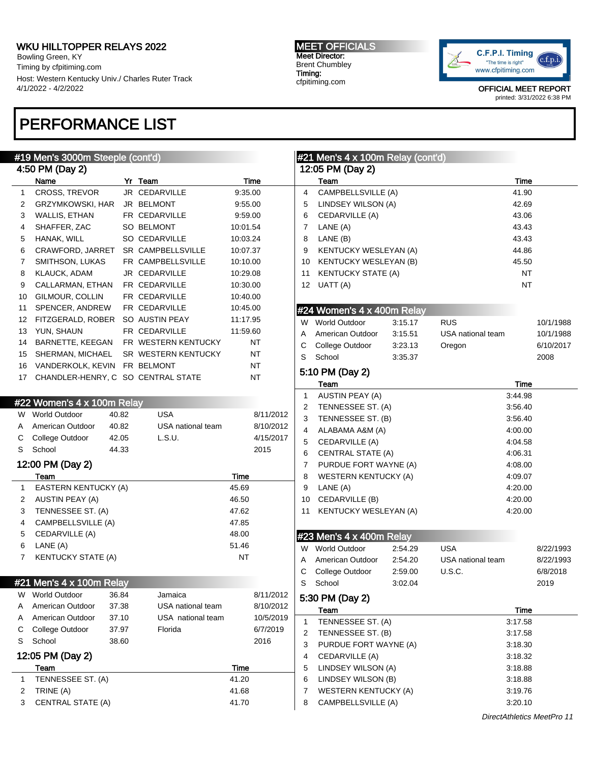Bowling Green, KY Timing by cfpitiming.com Host: Western Kentucky Univ./ Charles Ruter Track 4/1/2022 - 4/2/2022

# PERFORMANCE LIST

#### MEET OFFICIALS Meet Director: Brent Chumbley Timing: cfpitiming.com



|              | #19 Men's 3000m Steeple (cont'd)   |       |                     |           |           | $\#21$ Men's 4 x 100m Relay (cont'd) |                                  |         |                   |           |                            |
|--------------|------------------------------------|-------|---------------------|-----------|-----------|--------------------------------------|----------------------------------|---------|-------------------|-----------|----------------------------|
|              | 4:50 PM (Day 2)                    |       |                     |           |           | 12:05 PM (Day 2)                     |                                  |         |                   |           |                            |
|              | Name                               |       | Yr Team             |           | Time      |                                      | Team                             |         |                   | Time      |                            |
| $\mathbf{1}$ | CROSS, TREVOR                      |       | JR CEDARVILLE       | 9:35.00   |           | 4                                    | CAMPBELLSVILLE (A)               |         |                   | 41.90     |                            |
| 2            | GRZYMKOWSKI, HAR                   |       | JR BELMONT          | 9:55.00   |           | 5                                    | LINDSEY WILSON (A)               |         |                   | 42.69     |                            |
| 3            | <b>WALLIS, ETHAN</b>               |       | FR CEDARVILLE       | 9:59.00   |           | 6                                    | CEDARVILLE (A)                   |         |                   | 43.06     |                            |
| 4            | SHAFFER, ZAC                       |       | <b>SO BELMONT</b>   | 10:01.54  |           | $\overline{7}$                       | LANE (A)                         |         |                   | 43.43     |                            |
| 5            | HANAK, WILL                        |       | SO CEDARVILLE       | 10:03.24  |           | 8                                    | LANE (B)                         |         |                   | 43.43     |                            |
| 6            | CRAWFORD, JARRET                   |       | SR CAMPBELLSVILLE   | 10:07.37  |           | 9                                    | KENTUCKY WESLEYAN (A)            |         |                   | 44.86     |                            |
| 7            | SMITHSON, LUKAS                    |       | FR CAMPBELLSVILLE   | 10:10.00  |           | 10                                   | <b>KENTUCKY WESLEYAN (B)</b>     |         |                   | 45.50     |                            |
| 8            | <b>KLAUCK, ADAM</b>                |       | JR CEDARVILLE       | 10:29.08  |           | 11                                   | <b>KENTUCKY STATE (A)</b>        |         |                   | <b>NT</b> |                            |
| 9            | CALLARMAN, ETHAN                   |       | FR CEDARVILLE       | 10:30.00  |           |                                      | 12 $UATT(A)$                     |         |                   | <b>NT</b> |                            |
| 10           | GILMOUR, COLLIN                    |       | FR CEDARVILLE       | 10:40.00  |           |                                      |                                  |         |                   |           |                            |
| 11           | SPENCER, ANDREW                    |       | FR CEDARVILLE       | 10:45.00  |           |                                      | #24 Women's 4 x 400m Relay       |         |                   |           |                            |
| 12           | FITZGERALD, ROBER SO AUSTIN PEAY   |       |                     | 11:17.95  |           |                                      | W World Outdoor                  | 3:15.17 | <b>RUS</b>        |           | 10/1/1988                  |
| 13           | YUN, SHAUN                         |       | FR CEDARVILLE       | 11:59.60  |           | Α                                    | American Outdoor                 | 3:15.51 | USA national team |           | 10/1/1988                  |
| 14           | BARNETTE, KEEGAN                   |       | FR WESTERN KENTUCKY |           | <b>NT</b> | С                                    | College Outdoor                  | 3:23.13 | Oregon            |           | 6/10/2017                  |
| 15           | SHERMAN, MICHAEL                   |       | SR WESTERN KENTUCKY |           | <b>NT</b> | S                                    | School                           | 3:35.37 |                   |           | 2008                       |
| 16           | VANDERKOLK, KEVIN FR BELMONT       |       |                     |           | <b>NT</b> |                                      | 5:10 PM (Day 2)                  |         |                   |           |                            |
| 17           | CHANDLER-HENRY, C SO CENTRAL STATE |       |                     |           | <b>NT</b> |                                      | Team                             |         |                   | Time      |                            |
|              |                                    |       |                     |           |           | $\mathbf{1}$                         | AUSTIN PEAY (A)                  |         |                   | 3:44.98   |                            |
|              | #22 Women's 4 x 100m Relay         |       |                     |           |           | 2                                    | TENNESSEE ST. (A)                |         |                   | 3:56.40   |                            |
|              | W World Outdoor                    | 40.82 | <b>USA</b>          |           | 8/11/2012 | 3                                    | TENNESSEE ST. (B)                |         |                   | 3:56.40   |                            |
| A            | American Outdoor                   | 40.82 | USA national team   |           | 8/10/2012 | $\overline{4}$                       | ALABAMA A&M (A)                  |         |                   | 4:00.00   |                            |
| С            | College Outdoor                    | 42.05 | L.S.U.              |           | 4/15/2017 | 5                                    | CEDARVILLE (A)                   |         |                   | 4:04.58   |                            |
| S            | School                             | 44.33 |                     |           | 2015      | 6                                    | <b>CENTRAL STATE (A)</b>         |         |                   | 4:06.31   |                            |
|              | 12:00 PM (Day 2)                   |       |                     |           |           | 7                                    | PURDUE FORT WAYNE (A)            |         |                   | 4:08.00   |                            |
|              | Team                               |       |                     | Time      |           | 8                                    | <b>WESTERN KENTUCKY (A)</b>      |         |                   | 4:09.07   |                            |
| $\mathbf{1}$ | EASTERN KENTUCKY (A)               |       |                     | 45.69     |           | 9                                    | LANE (A)                         |         |                   | 4:20.00   |                            |
| 2            | AUSTIN PEAY (A)                    |       |                     | 46.50     |           | 10                                   | CEDARVILLE (B)                   |         |                   | 4:20.00   |                            |
| 3            | TENNESSEE ST. (A)                  |       |                     | 47.62     |           | 11                                   | KENTUCKY WESLEYAN (A)            |         |                   | 4:20.00   |                            |
| 4            | CAMPBELLSVILLE (A)                 |       |                     | 47.85     |           |                                      |                                  |         |                   |           |                            |
| 5            | CEDARVILLE (A)                     |       |                     | 48.00     |           |                                      | #23 Men's $4 \times 400$ m Relay |         |                   |           |                            |
| 6            | LANE (A)                           |       |                     | 51.46     |           |                                      | W World Outdoor                  | 2:54.29 | <b>USA</b>        |           | 8/22/1993                  |
| 7            | <b>KENTUCKY STATE (A)</b>          |       |                     | <b>NT</b> |           | A                                    | American Outdoor                 | 2:54.20 | USA national team |           | 8/22/1993                  |
|              |                                    |       |                     |           |           | С                                    | College Outdoor                  | 2:59.00 | <b>U.S.C.</b>     |           | 6/8/2018                   |
|              | #21 Men's 4 x 100m Relay           |       |                     |           |           | S                                    | School                           | 3:02.04 |                   |           | 2019                       |
|              | W World Outdoor                    | 36.84 | Jamaica             |           | 8/11/2012 |                                      | 5:30 PM (Day 2)                  |         |                   |           |                            |
| A            | American Outdoor                   | 37.38 | USA national team   |           | 8/10/2012 |                                      | Team                             |         |                   | Time      |                            |
| Α            | American Outdoor                   | 37.10 | USA national team   |           | 10/5/2019 | 1                                    | TENNESSEE ST. (A)                |         |                   | 3:17.58   |                            |
| С            | College Outdoor                    | 37.97 | Florida             |           | 6/7/2019  | 2                                    | TENNESSEE ST. (B)                |         |                   | 3:17.58   |                            |
| S            | School                             | 38.60 |                     |           | 2016      | 3                                    | PURDUE FORT WAYNE (A)            |         |                   | 3:18.30   |                            |
|              | 12:05 PM (Day 2)                   |       |                     |           |           | 4                                    | CEDARVILLE (A)                   |         |                   | 3:18.32   |                            |
|              | Team                               |       |                     | Time      |           | 5                                    | LINDSEY WILSON (A)               |         |                   | 3:18.88   |                            |
| 1            | TENNESSEE ST. (A)                  |       |                     | 41.20     |           | 6                                    | LINDSEY WILSON (B)               |         |                   | 3:18.88   |                            |
| 2            | TRINE (A)                          |       |                     | 41.68     |           | 7                                    | <b>WESTERN KENTUCKY (A)</b>      |         |                   | 3:19.76   |                            |
| 3            | <b>CENTRAL STATE (A)</b>           |       |                     | 41.70     |           | 8                                    | CAMPBELLSVILLE (A)               |         |                   | 3:20.10   |                            |
|              |                                    |       |                     |           |           |                                      |                                  |         |                   |           |                            |
|              |                                    |       |                     |           |           |                                      |                                  |         |                   |           | DirectAthletics MeetPro 11 |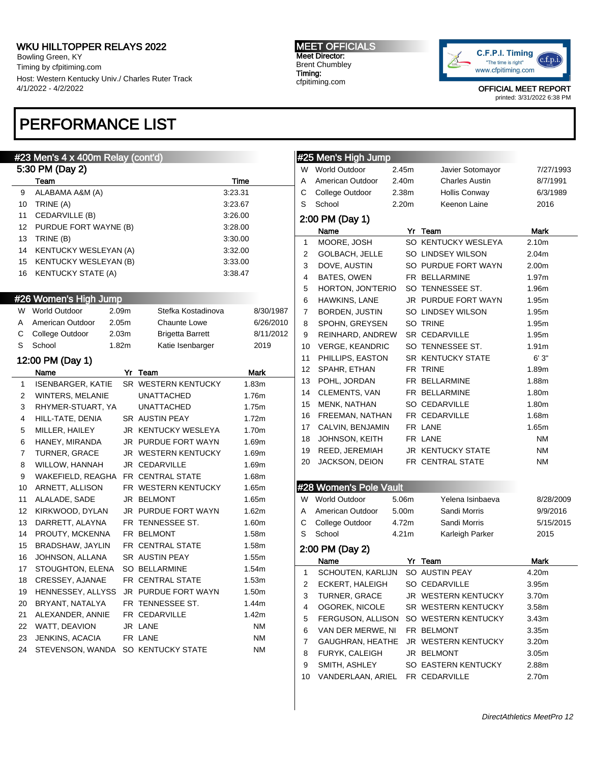Bowling Green, KY Timing by cfpitiming.com Host: Western Kentucky Univ./ Charles Ruter Track 4/1/2022 - 4/2/2022

# PERFORMANCE LIST

#### #23 Men's 4 x 400m Relay (cont'd)

|    | 5:30 PM (Day 2)              |       |                         |         |           |
|----|------------------------------|-------|-------------------------|---------|-----------|
|    | Team                         |       |                         | Time    |           |
| 9  | ALABAMA A&M (A)              |       |                         | 3:23.31 |           |
| 10 | TRINE (A)                    |       |                         | 3:23.67 |           |
| 11 | CEDARVILLE (B)               |       |                         | 3:26.00 |           |
| 12 | PURDUE FORT WAYNE (B)        |       |                         | 3:28.00 |           |
| 13 | TRINE (B)                    |       |                         | 3:30.00 |           |
| 14 | <b>KENTUCKY WESLEYAN (A)</b> |       |                         | 3:32.00 |           |
| 15 | <b>KENTUCKY WESLEYAN (B)</b> |       |                         | 3:33.00 |           |
| 16 | <b>KENTUCKY STATE (A)</b>    |       |                         | 3:38.47 |           |
|    |                              |       |                         |         |           |
|    | #26 Women's High Jump        |       |                         |         |           |
|    | W World Outdoor              | 2.09m | Stefka Kostadinova      |         | 8/30/1987 |
| Α  | American Outdoor             | 2.05m | <b>Chaunte Lowe</b>     |         | 6/26/2010 |
| С  | College Outdoor              | 2.03m | <b>Brigetta Barrett</b> |         | 8/11/2012 |
| S  | School                       | 1.82m | Katie Isenbarger        |         | 2019      |
|    | 12:00 PM (Day 1)             |       |                         |         |           |
|    | Name                         |       | Yr Team                 |         | Mark      |
| 1  | <b>ISENBARGER, KATIE</b>     |       | SR WESTERN KENTUCKY     |         | 1.83m     |
| 2  | WINTERS, MELANIE             |       | <b>UNATTACHED</b>       |         | 1.76m     |
| 3  | RHYMER-STUART, YA            |       | <b>UNATTACHED</b>       |         | 1.75m     |
| 4  | HILL-TATE, DENIA             |       | SR AUSTIN PEAY          |         | 1.72m     |
| 5  | MILLER, HAILEY               |       | JR KENTUCKY WESLEYA     |         | 1.70m     |
| 6  | HANEY, MIRANDA               |       | JR PURDUE FORT WAYN     |         | 1.69m     |
| 7  | TURNER, GRACE                |       | JR WESTERN KENTUCKY     |         | 1.69m     |
| 8  | WILLOW, HANNAH               |       | JR CEDARVILLE           |         | 1.69m     |
| 9  | WAKEFIELD, REAGHA            |       | FR CENTRAL STATE        |         | 1.68m     |
| 10 | ARNETT, ALLISON              |       | FR WESTERN KENTUCKY     |         | 1.65m     |
| 11 | ALALADE, SADE                |       | JR BELMONT              |         | 1.65m     |
| 12 | KIRKWOOD, DYLAN              |       | JR PURDUE FORT WAYN     |         | 1.62m     |
| 13 | DARRETT, ALAYNA              |       | FR TENNESSEE ST.        |         | 1.60m     |
| 14 | PROUTY, MCKENNA              |       | FR BELMONT              |         | 1.58m     |
| 15 | BRADSHAW, JAYLIN             |       | FR CENTRAL STATE        |         | 1.58m     |
| 16 | JOHNSON, ALLANA              |       | SR AUSTIN PEAY          |         | 1.55m     |
| 17 | STOUGHTON, ELENA             |       | <b>SO BELLARMINE</b>    |         | 1.54m     |
| 18 | CRESSEY, AJANAE              |       | FR CENTRAL STATE        |         | 1.53m     |
| 19 | HENNESSEY, ALLYSS            |       | JR PURDUE FORT WAYN     |         | 1.50m     |
| 20 | BRYANT, NATALYA              |       | FR TENNESSEE ST.        |         | 1.44m     |
| 21 | ALEXANDER, ANNIE             |       | FR CEDARVILLE           |         | 1.42m     |
| 22 | WATT, DEAVION                |       | JR LANE                 |         | <b>NM</b> |
| 23 | JENKINS, ACACIA              |       | FR LANE                 |         | <b>NM</b> |
| 24 | STEVENSON, WANDA             |       | SO KENTUCKY STATE       |         | <b>NM</b> |

#### MEET OFFICIALS Meet Director: Brent Chumbley Timing: cfpitiming.com



OFFICIAL MEET REPORT

printed: 3/31/2022 6:38 PM

### #25 Men's High Jump W World Outdoor 2.45m Javier Sotomayor 7/27/1993 A American Outdoor 2.40m Charles Austin 8/7/1991 C College Outdoor 2.38m Hollis Conway 6/3/1989 S School 2.20m Keenon Laine 2016 2:00 PM (Day 1) Name Yr Team Mark 1 MOORE, JOSH SO KENTUCKY WESLEYA 2.10m 2 GOLBACH, JELLE SO LINDSEY WILSON 2.04m 3 DOVE, AUSTIN SO PURDUE FORT WAYN 2.00m 4 BATES, OWEN FR BELLARMINE 1.97m 5 HORTON, JON'TERIO SO TENNESSEE ST. 1.96m 6 HAWKINS, LANE JR PURDUE FORT WAYN 1.95m 7 BORDEN, JUSTIN SO LINDSEY WILSON 1.95m 8 SPOHN, GREYSEN SO TRINE 1.95m 9 REINHARD, ANDREW SR CEDARVILLE 1.95m 10 VERGE, KEANDRIC SO TENNESSEE ST. 1.91m 11 PHILLIPS, EASTON SR KENTUCKY STATE 6'3" 12 SPAHR, ETHAN FR TRINE 1.89m 13 POHL, JORDAN FR BELLARMINE 1.88m 14 CLEMENTS, VAN FR BELLARMINE 1.80m 15 MENK, NATHAN SO CEDARVILLE 1.80m 16 FREEMAN, NATHAN FR CEDARVILLE 1.68m 17 CALVIN, BENJAMIN FR LANE 1.65m 18 JOHNSON, KEITH FR LANE NM 19 REED, JEREMIAH JR KENTUCKY STATE NM 20 JACKSON, DEION FR CENTRAL STATE NM #28 Women's Pole Vault W World Outdoor 5.06m Yelena Isinbaeva 8/28/2009 A American Outdoor 5.00m Sandi Morris 9/9/2016 C College Outdoor 4.72m Sandi Morris 5/15/2015 S School 4.21m Karleigh Parker 2015 2:00 PM (Day 2) Name Yr Team Mark 1 SCHOUTEN, KARLIJN SO AUSTIN PEAY 4.20m 2 ECKERT, HALEIGH SO CEDARVILLE 3.95m 3 TURNER, GRACE JR WESTERN KENTUCKY 3.70m 4 OGOREK, NICOLE SR WESTERN KENTUCKY 3.58m 5 FERGUSON, ALLISON SO WESTERN KENTUCKY 3.43m 6 VAN DER MERWE, NI FR BELMONT 3.35m 7 GAUGHRAN, HEATHE JR WESTERN KENTUCKY 3.20m 8 FURYK, CALEIGH JR BELMONT 3.05m 9 SMITH, ASHLEY SO EASTERN KENTUCKY 2.88m 10 VANDERLAAN, ARIEL FR CEDARVILLE 2.70m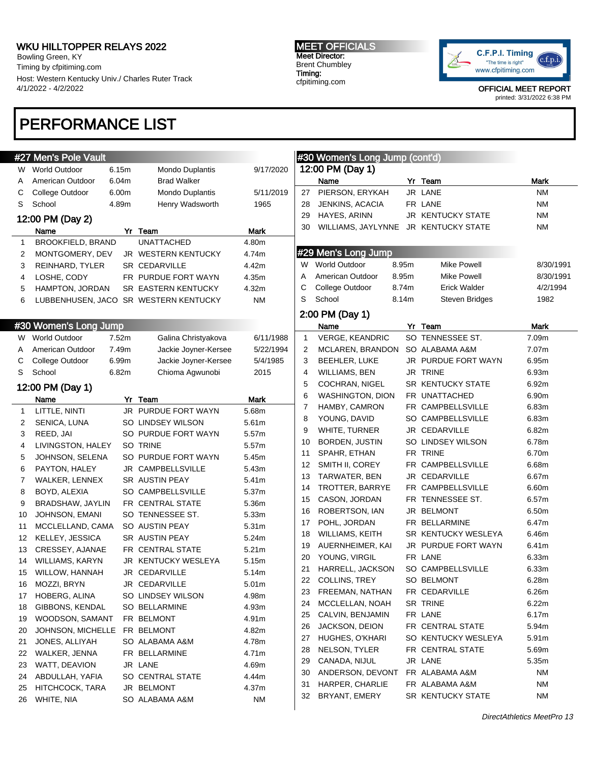Bowling Green, KY Timing by cfpitiming.com Host: Western Kentucky Univ./ Charles Ruter Track 4/1/2022 - 4/2/2022

#### MEET OFFICIALS Meet Director: Brent Chumbley Timing: cfpitiming.com



OFFICIAL MEET REPORT printed: 3/31/2022 6:38 PM

# PERFORMANCE LIST

|              | #27 Men's Pole Vault         |       |                                       |                   |                | #30 Women's Long Jump (cont'd)       |       |                          |             |
|--------------|------------------------------|-------|---------------------------------------|-------------------|----------------|--------------------------------------|-------|--------------------------|-------------|
|              | W World Outdoor              | 6.15m | Mondo Duplantis                       | 9/17/2020         |                | 12:00 PM (Day 1)                     |       |                          |             |
| Α            | American Outdoor             | 6.04m | <b>Brad Walker</b>                    |                   |                | Name                                 |       | Yr Team                  | <b>Mark</b> |
| С            | College Outdoor              | 6.00m | Mondo Duplantis                       | 5/11/2019         | 27             | PIERSON, ERYKAH                      |       | JR LANE                  | <b>NM</b>   |
| S            | School                       | 4.89m | Henry Wadsworth                       | 1965              | 28             | JENKINS, ACACIA                      |       | FR LANE                  | <b>NM</b>   |
|              | 12:00 PM (Day 2)             |       |                                       |                   | 29             | HAYES, ARINN                         |       | <b>JR KENTUCKY STATE</b> | <b>NM</b>   |
|              | Name                         |       | Yr Team                               | Mark              | 30             | WILLIAMS, JAYLYNNE JR KENTUCKY STATE |       |                          | <b>NM</b>   |
| $\mathbf{1}$ | BROOKFIELD, BRAND            |       | <b>UNATTACHED</b>                     | 4.80m             |                |                                      |       |                          |             |
| 2            | MONTGOMERY, DEV              |       | JR WESTERN KENTUCKY                   | 4.74m             |                | #29 Men's Long Jump                  |       |                          |             |
| 3            | REINHARD, TYLER              |       | <b>SR CEDARVILLE</b>                  | 4.42m             |                | W World Outdoor                      | 8.95m | <b>Mike Powell</b>       | 8/30/1991   |
| 4            | LOSHE, CODY                  |       | FR PURDUE FORT WAYN                   | 4.35m             | A              | American Outdoor                     | 8.95m | <b>Mike Powell</b>       | 8/30/1991   |
| 5            | HAMPTON, JORDAN              |       | SR EASTERN KENTUCKY                   | 4.32m             | С              | College Outdoor                      | 8.74m | <b>Erick Walder</b>      | 4/2/1994    |
| 6            |                              |       | LUBBENHUSEN, JACO SR WESTERN KENTUCKY | <b>NM</b>         | S              | School                               | 8.14m | Steven Bridges           | 1982        |
|              |                              |       |                                       |                   |                | 2:00 PM (Day 1)                      |       |                          |             |
|              | #30 Women's Long Jump        |       |                                       |                   |                | Name                                 |       | Yr Team                  | Mark        |
|              | W World Outdoor              | 7.52m | Galina Christyakova                   | 6/11/1988         | $\mathbf{1}$   | <b>VERGE, KEANDRIC</b>               |       | SO TENNESSEE ST.         | 7.09m       |
| A            | American Outdoor             | 7.49m | Jackie Joyner-Kersee                  | 5/22/1994         | 2              | MCLAREN, BRANDON                     |       | SO ALABAMA A&M           | 7.07m       |
| С            | College Outdoor              | 6.99m | Jackie Joyner-Kersee                  | 5/4/1985          | 3              | BEEHLER, LUKE                        |       | JR PURDUE FORT WAYN      | 6.95m       |
| S            | School                       | 6.82m | Chioma Agwunobi                       | 2015              | $\overline{4}$ | <b>WILLIAMS, BEN</b>                 |       | JR TRINE                 | 6.93m       |
|              | 12:00 PM (Day 1)             |       |                                       |                   | 5              | COCHRAN, NIGEL                       |       | <b>SR KENTUCKY STATE</b> | 6.92m       |
|              | Name                         |       | Yr Team                               | Mark              | 6              | <b>WASHINGTON, DION</b>              |       | FR UNATTACHED            | 6.90m       |
| 1            | LITTLE, NINTI                |       | JR PURDUE FORT WAYN                   | 5.68m             | 7              | HAMBY, CAMRON                        |       | FR CAMPBELLSVILLE        | 6.83m       |
| 2            | SENICA, LUNA                 |       | SO LINDSEY WILSON                     | 5.61m             | 8              | YOUNG, DAVID                         |       | SO CAMPBELLSVILLE        | 6.83m       |
| 3            | REED, JAI                    |       | SO PURDUE FORT WAYN                   | 5.57m             | 9              | WHITE, TURNER                        |       | JR CEDARVILLE            | 6.82m       |
| 4            | LIVINGSTON, HALEY            |       | SO TRINE                              | 5.57m             | 10             | BORDEN, JUSTIN                       |       | SO LINDSEY WILSON        | 6.78m       |
| 5            | JOHNSON, SELENA              |       | SO PURDUE FORT WAYN                   | 5.45m             | 11             | SPAHR, ETHAN                         |       | FR TRINE                 | 6.70m       |
| 6            | PAYTON, HALEY                |       | JR CAMPBELLSVILLE                     | 5.43m             | 12             | SMITH II, COREY                      |       | FR CAMPBELLSVILLE        | 6.68m       |
| 7            | WALKER, LENNEX               |       | SR AUSTIN PEAY                        | 5.41m             | 13             | TARWATER, BEN                        |       | JR CEDARVILLE            | 6.67m       |
| 8            | BOYD, ALEXIA                 |       | SO CAMPBELLSVILLE                     | 5.37m             | 14             | TROTTER, BARRYE                      |       | FR CAMPBELLSVILLE        | 6.60m       |
| 9            | BRADSHAW, JAYLIN             |       | FR CENTRAL STATE                      | 5.36m             | 15             | CASON, JORDAN                        |       | FR TENNESSEE ST.         | 6.57m       |
| 10           | JOHNSON, EMANI               |       | SO TENNESSEE ST.                      | 5.33m             | 16             | ROBERTSON, IAN                       |       | JR BELMONT               | 6.50m       |
| 11           | MCCLELLAND, CAMA             |       | SO AUSTIN PEAY                        | 5.31m             | 17             | POHL, JORDAN                         |       | FR BELLARMINE            | 6.47m       |
| 12           | KELLEY, JESSICA              |       | SR AUSTIN PEAY                        | 5.24m             | 18             | <b>WILLIAMS, KEITH</b>               |       | SR KENTUCKY WESLEYA      | 6.46m       |
| 13           | CRESSEY, AJANAE              |       | FR CENTRAL STATE                      | 5.21 <sub>m</sub> | 19             | AUERNHEIMER, KAI                     |       | JR PURDUE FORT WAYN      | 6.41m       |
| 14           | WILLIAMS, KARYN              |       | JR KENTUCKY WESLEYA                   | 5.15m             | 20             | YOUNG, VIRGIL                        |       | FR LANE                  | 6.33m       |
|              | 15 WILLOW, HANNAH            |       | JR CEDARVILLE                         | 5.14m             | 21             | HARRELL, JACKSON                     |       | <b>SO CAMPBELLSVILLE</b> | 6.33m       |
|              | 16 MOZZI, BRYN               |       | JR CEDARVILLE                         | 5.01m             | 22             | COLLINS, TREY                        |       | SO BELMONT               | 6.28m       |
| 17           | HOBERG, ALINA                |       | SO LINDSEY WILSON                     | 4.98m             | 23             | FREEMAN, NATHAN                      |       | FR CEDARVILLE            | 6.26m       |
| 18           | GIBBONS, KENDAL              |       | SO BELLARMINE                         | 4.93m             | 24             | MCCLELLAN, NOAH                      |       | SR TRINE                 | 6.22m       |
| 19           | WOODSON, SAMANT              |       | FR BELMONT                            | 4.91m             | 25             | CALVIN, BENJAMIN                     |       | FR LANE                  | 6.17m       |
| 20           | JOHNSON, MICHELLE FR BELMONT |       |                                       | 4.82m             | 26             | JACKSON, DEION                       |       | FR CENTRAL STATE         | 5.94m       |
| 21           | JONES, ALLIYAH               |       | SO ALABAMA A&M                        | 4.78m             | 27             | HUGHES, O'KHARI                      |       | SO KENTUCKY WESLEYA      | 5.91m       |
| 22           | WALKER, JENNA                |       | FR BELLARMINE                         | 4.71m             | 28             | NELSON, TYLER                        |       | FR CENTRAL STATE         | 5.69m       |
| 23           | WATT, DEAVION                |       | JR LANE                               | 4.69m             | 29             | CANADA, NIJUL                        |       | JR LANE                  | 5.35m       |
| 24           | ABDULLAH, YAFIA              |       | SO CENTRAL STATE                      | 4.44m             | 30             | ANDERSON, DEVONT                     |       | FR ALABAMA A&M           | ΝM          |
| 25           | HITCHCOCK, TARA              |       | JR BELMONT                            | 4.37m             | 31             | HARPER, CHARLIE                      |       | FR ALABAMA A&M           | ΝM          |
| 26           | WHITE, NIA                   |       | SO ALABAMA A&M                        | ΝM                | 32             | BRYANT, EMERY                        |       | SR KENTUCKY STATE        | ΝM          |
|              |                              |       |                                       |                   |                |                                      |       |                          |             |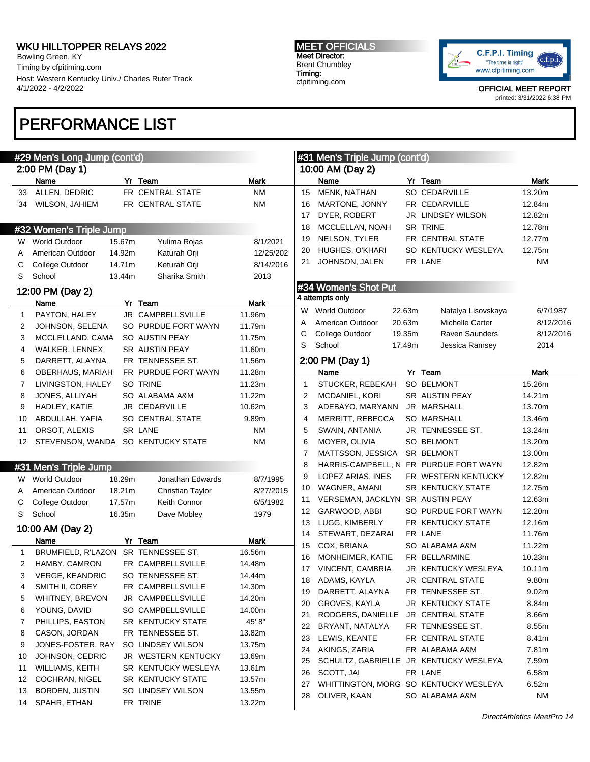Bowling Green, KY Timing by cfpitiming.com Host: Western Kentucky Univ./ Charles Ruter Track 4/1/2022 - 4/2/2022

# PERFORMANCE LIST

#### MEET OFFICIALS Meet Director: Brent Chumbley Timing: cfpitiming.com



| #29 Men's Long Jump (cont'd) |                           |        |                                  |             | #31 Men's Triple Jump (cont'd) |                                        |        |                          |             |
|------------------------------|---------------------------|--------|----------------------------------|-------------|--------------------------------|----------------------------------------|--------|--------------------------|-------------|
| 2:00 PM (Day 1)              |                           |        |                                  |             |                                | 10:00 AM (Day 2)                       |        |                          |             |
|                              | Name                      |        | Yr Team                          | <b>Mark</b> |                                | Name                                   |        | Yr Team                  | <b>Mark</b> |
| 33                           | ALLEN, DEDRIC             |        | FR CENTRAL STATE                 | <b>NM</b>   | 15                             | MENK, NATHAN                           |        | SO CEDARVILLE            | 13.20m      |
| 34                           | WILSON, JAHIEM            |        | FR CENTRAL STATE                 | ΝM          | 16                             | MARTONE, JONNY                         |        | FR CEDARVILLE            | 12.84m      |
|                              |                           |        |                                  |             | 17                             | DYER, ROBERT                           |        | <b>JR LINDSEY WILSON</b> | 12.82m      |
|                              | #32 Women's Triple Jump   |        |                                  |             | 18                             | MCCLELLAN, NOAH                        |        | <b>SR TRINE</b>          | 12.78m      |
|                              | W World Outdoor           | 15.67m | Yulima Rojas                     | 8/1/2021    | 19                             | NELSON, TYLER                          |        | FR CENTRAL STATE         | 12.77m      |
| A                            | American Outdoor          | 14.92m | Katurah Orji                     | 12/25/202   | 20                             | HUGHES, O'KHARI                        |        | SO KENTUCKY WESLEYA      | 12.75m      |
| С                            | College Outdoor           | 14.71m | Keturah Orji                     | 8/14/2016   | 21                             | JOHNSON, JALEN                         |        | FR LANE                  | <b>NM</b>   |
| S                            | School                    | 13.44m | Sharika Smith                    | 2013        |                                |                                        |        |                          |             |
|                              |                           |        |                                  |             |                                | #34 Women's Shot Put                   |        |                          |             |
|                              | 12:00 PM (Day 2)          |        | Yr Team                          | Mark        |                                | 4 attempts only                        |        |                          |             |
| $\mathbf{1}$                 | Name<br>PAYTON, HALEY     |        | JR CAMPBELLSVILLE                | 11.96m      |                                | W World Outdoor                        | 22.63m | Natalya Lisovskaya       | 6/7/1987    |
| 2                            | JOHNSON, SELENA           |        | SO PURDUE FORT WAYN              | 11.79m      | Α                              | American Outdoor                       | 20.63m | Michelle Carter          | 8/12/2016   |
| 3                            | MCCLELLAND, CAMA          |        | SO AUSTIN PEAY                   | 11.75m      | С                              | College Outdoor                        | 19.35m | Raven Saunders           | 8/12/2016   |
| 4                            | WALKER, LENNEX            |        | SR AUSTIN PEAY                   | 11.60m      | S                              | School                                 | 17.49m | Jessica Ramsey           | 2014        |
| 5                            | DARRETT, ALAYNA           |        | FR TENNESSEE ST.                 | 11.56m      |                                | 2:00 PM (Day 1)                        |        |                          |             |
| 6                            | OBERHAUS, MARIAH          |        | FR PURDUE FORT WAYN              | 11.28m      |                                | Name                                   |        | Yr Team                  | <b>Mark</b> |
| 7                            | LIVINGSTON, HALEY         |        | SO TRINE                         | 11.23m      | $\mathbf 1$                    | STUCKER, REBEKAH                       |        | <b>SO BELMONT</b>        | 15.26m      |
| 8                            | JONES, ALLIYAH            |        | SO ALABAMA A&M                   | 11.22m      | 2                              | MCDANIEL, KORI                         |        | SR AUSTIN PEAY           | 14.21m      |
| 9                            | HADLEY, KATIE             |        | JR CEDARVILLE                    | 10.62m      | 3                              | ADEBAYO, MARYANN                       |        | JR MARSHALL              | 13.70m      |
| 10                           | ABDULLAH, YAFIA           |        | SO CENTRAL STATE                 | 9.89m       | 4                              | MERRITT, REBECCA                       |        | SO MARSHALL              | 13.46m      |
| 11                           | ORSOT, ALEXIS             |        | SR LANE                          | <b>NM</b>   | 5                              | SWAIN, ANTANIA                         |        | JR TENNESSEE ST.         | 13.24m      |
| 12                           | STEVENSON, WANDA          |        | SO KENTUCKY STATE                | <b>NM</b>   | 6                              | MOYER, OLIVIA                          |        | <b>SO BELMONT</b>        | 13.20m      |
|                              |                           |        |                                  |             | 7                              | MATTSSON, JESSICA                      |        | SR BELMONT               | 13.00m      |
|                              | #31 Men's Triple Jump     |        |                                  |             | 8                              | HARRIS-CAMPBELL, N FR PURDUE FORT WAYN |        |                          | 12.82m      |
|                              |                           | 18.29m |                                  |             | 9                              | LOPEZ ARIAS, INES                      |        | FR WESTERN KENTUCKY      | 12.82m      |
| W                            | <b>World Outdoor</b>      | 18.21m | Jonathan Edwards                 | 8/7/1995    | 10                             | WAGNER, AMANI                          |        | <b>SR KENTUCKY STATE</b> | 12.75m      |
| A                            | American Outdoor          | 17.57m | Christian Taylor<br>Keith Connor | 8/27/2015   | 11                             | <b>VERSEMAN, JACKLYN</b>               |        | SR AUSTIN PEAY           | 12.63m      |
| С<br>S                       | College Outdoor<br>School |        |                                  | 6/5/1982    | 12                             | GARWOOD, ABBI                          |        | SO PURDUE FORT WAYN      | 12.20m      |
|                              |                           | 16.35m | Dave Mobley                      | 1979        | 13                             | LUGG, KIMBERLY                         |        | FR KENTUCKY STATE        | 12.16m      |
|                              | 10:00 AM (Day 2)          |        |                                  |             | 14                             | STEWART, DEZARAI                       |        | FR LANE                  | 11.76m      |
|                              | Name                      |        | Yr Team                          | <b>Mark</b> | 15                             | COX, BRIANA                            |        | SO ALABAMA A&M           | 11.22m      |
| $\mathbf{1}$                 | BRUMFIELD, R'LAZON        |        | SR TENNESSEE ST.                 | 16.56m      | 16                             | MONHEIMER, KATIE                       |        | FR BELLARMINE            | 10.23m      |
| 2                            | HAMBY, CAMRON             |        | FR CAMPBELLSVILLE                | 14.48m      | 17                             | <b>VINCENT, CAMBRIA</b>                |        | JR KENTUCKY WESLEYA      | 10.11m      |
| 3                            | <b>VERGE, KEANDRIC</b>    |        | SO TENNESSEE ST.                 | 14.44m      | 18                             | ADAMS, KAYLA                           |        | JR CENTRAL STATE         | 9.80m       |
| 4                            | SMITH II, COREY           |        | FR CAMPBELLSVILLE                | 14.30m      | 19                             | DARRETT, ALAYNA                        |        | FR TENNESSEE ST.         | 9.02m       |
| 5                            | WHITNEY, BREVON           |        | JR CAMPBELLSVILLE                | 14.20m      | 20                             | GROVES, KAYLA                          |        | JR KENTUCKY STATE        | 8.84m       |
| 6                            | YOUNG, DAVID              |        | SO CAMPBELLSVILLE                | 14.00m      | 21                             | RODGERS, DANIELLE                      |        | <b>JR CENTRAL STATE</b>  | 8.66m       |
| 7                            | PHILLIPS, EASTON          |        | <b>SR KENTUCKY STATE</b>         | 45' 8"      | 22                             | BRYANT, NATALYA                        |        | FR TENNESSEE ST.         | 8.55m       |
| 8                            | CASON, JORDAN             |        | FR TENNESSEE ST.                 | 13.82m      | 23                             | LEWIS, KEANTE                          |        | FR CENTRAL STATE         | 8.41m       |
| 9                            | JONES-FOSTER, RAY         |        | SO LINDSEY WILSON                | 13.75m      | 24                             | AKINGS, ZARIA                          |        | FR ALABAMA A&M           | 7.81m       |
| 10                           | JOHNSON, CEDRIC           |        | JR WESTERN KENTUCKY              | 13.69m      | 25                             | SCHULTZ, GABRIELLE JR KENTUCKY WESLEYA |        |                          | 7.59m       |
| 11                           | <b>WILLIAMS, KEITH</b>    |        | SR KENTUCKY WESLEYA              | 13.61m      | 26                             | SCOTT, JAI                             |        | FR LANE                  | 6.58m       |
| 12                           | <b>COCHRAN, NIGEL</b>     |        | <b>SR KENTUCKY STATE</b>         | 13.57m      | 27                             | WHITTINGTON, MORG SO KENTUCKY WESLEYA  |        |                          | 6.52m       |
| 13                           | <b>BORDEN, JUSTIN</b>     |        | SO LINDSEY WILSON                | 13.55m      | 28                             | OLIVER, KAAN                           |        | SO ALABAMA A&M           | <b>NM</b>   |
| 14                           | SPAHR, ETHAN              |        | FR TRINE                         | 13.22m      |                                |                                        |        |                          |             |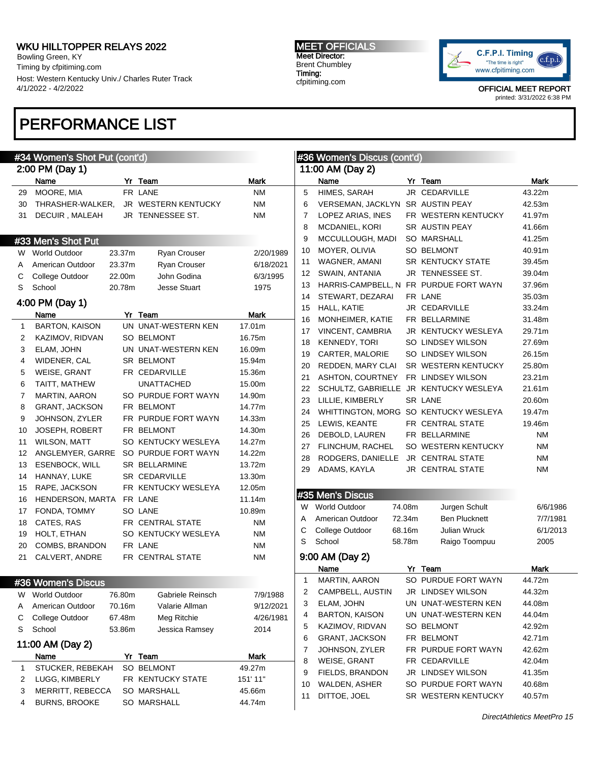Bowling Green, KY Timing by cfpitiming.com Host: Western Kentucky Univ./ Charles Ruter Track 4/1/2022 - 4/2/2022

### PERFORMANCE LIST

#### #34 Women's Shot Put (cont'd) 2:00 PM (Day 1) Name **Yr Team Yr Team** Mark 29 MOORE, MIA FRILANE NM 30 THRASHER-WALKER, JR WESTERN KENTUCKY NM 31 DECUIR, MALEAH JR TENNESSEE ST. NM #33 Men's Shot Put W World Outdoor 23.37m Ryan Crouser 2/20/1989 A American Outdoor 23.37m Ryan Crouser 6/18/2021 C College Outdoor 22.00m John Godina 6/3/1995 S School 20.78m Jesse Stuart 1975 4:00 PM (Day 1) Name Yr Team **Mark** 1 BARTON, KAISON UN UNAT-WESTERN KEN 17.01m 2 KAZIMOV, RIDVAN SO BELMONT 16.75m 3 ELAM, JOHN UN UNAT-WESTERN KEN 16.09m 4 WIDENER, CAL SR BELMONT 15.94m 5 WEISE, GRANT FR CEDARVILLE 15.36m 6 TAITT, MATHEW UNATTACHED 15.00m 7 MARTIN, AARON SO PURDUE FORT WAYN 14.90m 8 GRANT, JACKSON FR BELMONT 14.77m 9 JOHNSON, ZYLER FR PURDUE FORT WAYN 14.33m 10 JOSEPH, ROBERT FR BELMONT 14.30m 11 WILSON, MATT SO KENTUCKY WESLEYA 14.27m 12 ANGLEMYER, GARRE SO PURDUE FORT WAYN 14.22m 13 ESENBOCK, WILL SR BELLARMINE 13.72m 14 HANNAY, LUKE SR CEDARVILLE 13.30m 15 RAPE, JACKSON FR KENTUCKY WESLEYA 12.05m 16 HENDERSON, MARTA FR LANE 11.14m 17 FONDA, TOMMY SO LANE 10.89m 18 CATES, RAS FR CENTRAL STATE NM 19 HOLT, ETHAN SO KENTUCKY WESLEYA NM 20 COMBS, BRANDON FR LANE NM 21 CALVERT, ANDRE FR CENTRAL STATE NM #36 Women's Discus W World Outdoor 76.80m Gabriele Reinsch 7/9/1988 A American Outdoor 70.16m Valarie Allman 9/12/2021 C College Outdoor 67.48m Meg Ritchie 4/26/1981 S School 53.86m Jessica Ramsey 2014 11:00 AM (Day 2) Name Yr Team **Mark** 1 STUCKER, REBEKAH SO BELMONT 49.27m 2 LUGG, KIMBERLY FR KENTUCKY STATE 151' 11" 3 MERRITT, REBECCA SO MARSHALL 45.66m 4 BURNS, BROOKE SO MARSHALL 44.74m #36 Women's Discus (cont'd) 11:00 AM (Day 2) Name Yr Team Mark 5 HIMES, SARAH JR CEDARVILLE 43.22m 6 VERSEMAN, JACKLYN SR AUSTIN PEAY 42.53m 7 LOPEZ ARIAS, INES FR WESTERN KENTUCKY 41.97m 8 MCDANIEL, KORI SR AUSTIN PEAY 41.66m 9 MCCULLOUGH, MADI SO MARSHALL 41.25m 10 MOYER, OLIVIA SO BELMONT 40.91m 11 WAGNER, AMANI SR KENTUCKY STATE 39.45m 12 SWAIN, ANTANIA JR TENNESSEE ST. 39.04m 13 HARRIS-CAMPBELL, N FR PURDUE FORT WAYN 37.96m 14 STEWART, DEZARAI FR LANE 35.03m 15 HALL, KATIE JR CEDARVILLE 33.24m 16 MONHEIMER, KATIE FR BELLARMINE 31.48m 17 VINCENT, CAMBRIA JR KENTUCKY WESLEYA 29.71m 18 KENNEDY, TORI SO LINDSEY WILSON 27.69m 19 CARTER, MALORIE SO LINDSEY WILSON 26.15m 20 REDDEN, MARY CLAI SR WESTERN KENTUCKY 25.80m 21 ASHTON, COURTNEY FR LINDSEY WILSON 23.21m 22 SCHULTZ, GABRIELLE JR KENTUCKY WESLEYA 21.61m 23 LILLIE, KIMBERLY SR LANE 20.60m 24 WHITTINGTON, MORG SO KENTUCKY WESLEYA 19.47m 25 LEWIS, KEANTE FR CENTRAL STATE 19.46m 26 DEBOLD, LAUREN FR BELLARMINE NM 27 FLINCHUM, RACHEL SO WESTERN KENTUCKY NM 28 RODGERS, DANIELLE JR CENTRAL STATE NM 29 ADAMS, KAYLA JR CENTRAL STATE NM #35 Men's Discus W World Outdoor 74.08m Jurgen Schult 6/6/1986 A American Outdoor 72.34m Ben Plucknett 7/7/1981 C College Outdoor 68.16m Julian Wruck 6/1/2013 S School 58.78m Raigo Toompuu 2005 9:00 AM (Day 2) Name Yr Team **Mark** 1 MARTIN, AARON SO PURDUE FORT WAYN 44.72m 2 CAMPBELL, AUSTIN JR LINDSEY WILSON 44.32m 3 ELAM, JOHN UN UNAT-WESTERN KEN 44.08m 4 BARTON, KAISON UN UNAT-WESTERN KEN 44.04m 5 KAZIMOV, RIDVAN SO BELMONT 42.92m 6 GRANT, JACKSON FR BELMONT 42.71m 7 JOHNSON, ZYLER FR PURDUE FORT WAYN 42.62m 8 WEISE, GRANT FR CEDARVILLE 42.04m 9 FIELDS, BRANDON JR LINDSEY WILSON 41.35m 10 WALDEN, ASHER SO PURDUE FORT WAYN 40.68m 11 DITTOE, JOEL SR WESTERN KENTUCKY 40.57m

MEET OFFICIALS Meet Director: Brent Chumbley Timing: cfpitiming.com



OFFICIAL MEET REPORT printed: 3/31/2022 6:38 PM

DirectAthletics MeetPro 15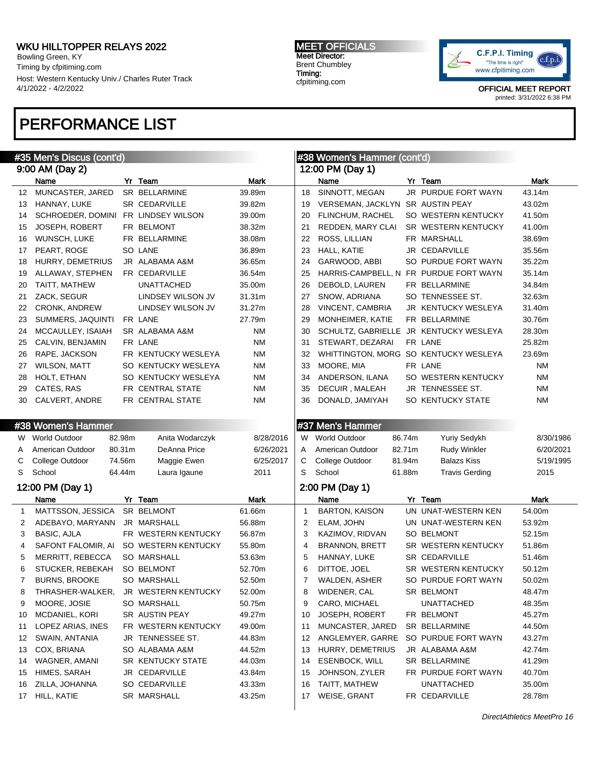Bowling Green, KY Timing by cfpitiming.com Host: Western Kentucky Univ./ Charles Ruter Track 4/1/2022 - 4/2/2022

#### MEET OFFICIALS Meet Director: Brent Chumbley Timing: cfpitiming.com



OFFICIAL MEET REPORT printed: 3/31/2022 6:38 PM

# PERFORMANCE LIST

| #35 Men's Discus (cont'd)<br>#38 Women's Hammer (cont'd) |                      |        |                      |             |              |                                        |        |                       |           |
|----------------------------------------------------------|----------------------|--------|----------------------|-------------|--------------|----------------------------------------|--------|-----------------------|-----------|
|                                                          | 9:00 AM (Day 2)      |        |                      |             |              | 12:00 PM (Day 1)                       |        |                       |           |
|                                                          | Name                 |        | Yr Team              | <b>Mark</b> |              | Name                                   |        | Yr Team               | Mark      |
| 12                                                       | MUNCASTER, JARED     |        | <b>SR BELLARMINE</b> | 39.89m      | 18           | SINNOTT, MEGAN                         |        | JR PURDUE FORT WAYN   | 43.14m    |
| 13                                                       | HANNAY, LUKE         |        | <b>SR CEDARVILLE</b> | 39.82m      | 19           | VERSEMAN, JACKLYN                      |        | <b>SR AUSTIN PEAY</b> | 43.02m    |
| 14                                                       | SCHROEDER, DOMINI    |        | FR LINDSEY WILSON    | 39.00m      | 20           | FLINCHUM, RACHEL                       |        | SO WESTERN KENTUCKY   | 41.50m    |
| 15                                                       | JOSEPH, ROBERT       |        | FR BELMONT           | 38.32m      | 21           | REDDEN, MARY CLAI                      |        | SR WESTERN KENTUCKY   | 41.00m    |
| 16                                                       | WUNSCH, LUKE         |        | FR BELLARMINE        | 38.08m      | 22           | ROSS, LILLIAN                          |        | FR MARSHALL           | 38.69m    |
| 17                                                       | PEART, ROGE          |        | SO LANE              | 36.89m      | 23           | HALL, KATIE                            |        | JR CEDARVILLE         | 35.56m    |
| 18                                                       | HURRY, DEMETRIUS     |        | JR ALABAMA A&M       | 36.65m      | 24           | GARWOOD, ABBI                          |        | SO PURDUE FORT WAYN   | 35.22m    |
| 19                                                       | ALLAWAY, STEPHEN     |        | FR CEDARVILLE        | 36.54m      | 25           | HARRIS-CAMPBELL, N FR PURDUE FORT WAYN |        |                       | 35.14m    |
| 20                                                       | TAITT, MATHEW        |        | <b>UNATTACHED</b>    | 35.00m      | 26           | DEBOLD, LAUREN                         |        | FR BELLARMINE         | 34.84m    |
| 21                                                       | ZACK, SEGUR          |        | LINDSEY WILSON JV    | 31.31m      | 27           | SNOW, ADRIANA                          |        | SO TENNESSEE ST.      | 32.63m    |
| 22                                                       | <b>CRONK, ANDREW</b> |        | LINDSEY WILSON JV    | 31.27m      | 28           | VINCENT, CAMBRIA                       |        | JR KENTUCKY WESLEYA   | 31.40m    |
| 23                                                       | SUMMERS, JAQUINTI    |        | FR LANE              | 27.79m      | 29           | MONHEIMER, KATIE                       |        | FR BELLARMINE         | 30.76m    |
| 24                                                       | MCCAULLEY, ISAIAH    |        | SR ALABAMA A&M       | ΝM          | 30           | SCHULTZ, GABRIELLE                     |        | JR KENTUCKY WESLEYA   | 28.30m    |
| 25                                                       | CALVIN, BENJAMIN     |        | FR LANE              | <b>NM</b>   | 31           | STEWART, DEZARAI                       |        | FR LANE               | 25.82m    |
| 26                                                       | RAPE, JACKSON        |        | FR KENTUCKY WESLEYA  | <b>NM</b>   | 32           | WHITTINGTON, MORG SO KENTUCKY WESLEYA  |        |                       | 23.69m    |
| 27                                                       | <b>WILSON, MATT</b>  |        | SO KENTUCKY WESLEYA  | ΝM          | 33           | MOORE, MIA                             |        | FR LANE               | ΝM        |
| 28                                                       | HOLT, ETHAN          |        | SO KENTUCKY WESLEYA  | ΝM          | 34           | ANDERSON, ILANA                        |        | SO WESTERN KENTUCKY   | <b>NM</b> |
| 29                                                       | CATES, RAS           |        | FR CENTRAL STATE     | <b>NM</b>   | 35           | DECUIR, MALEAH                         |        | JR TENNESSEE ST.      | <b>NM</b> |
| 30                                                       | CALVERT, ANDRE       |        | FR CENTRAL STATE     | <b>NM</b>   | 36           | DONALD, JAMIYAH                        |        | SO KENTUCKY STATE     | <b>NM</b> |
|                                                          |                      |        |                      |             |              |                                        |        |                       |           |
|                                                          | #38 Women's Hammer   |        |                      |             |              | #37 Men's Hammer                       |        |                       |           |
| W                                                        | <b>World Outdoor</b> | 82.98m | Anita Wodarczyk      | 8/28/2016   | W            | <b>World Outdoor</b>                   | 86.74m | Yuriy Sedykh          | 8/30/1986 |
| A                                                        | American Outdoor     | 80.31m | DeAnna Price         | 6/26/2021   | A            | American Outdoor                       | 82.71m | <b>Rudy Winkler</b>   | 6/20/2021 |
| С                                                        | College Outdoor      | 74.56m | Maggie Ewen          | 6/25/2017   | С            | College Outdoor                        | 81.94m | <b>Balazs Kiss</b>    | 5/19/1995 |
| S                                                        | School               | 64.44m | Laura Igaune         | 2011        | S            | School                                 | 61.88m | <b>Travis Gerding</b> | 2015      |
|                                                          | 12:00 PM (Day 1)     |        |                      |             |              | 2:00 PM (Day 1)                        |        |                       |           |
|                                                          | Name                 |        | Yr Team              | <b>Mark</b> |              | Name                                   |        | Yr Team               | Mark      |
| $\mathbf{1}$                                             | MATTSSON, JESSICA    |        | SR BELMONT           | 61.66m      | $\mathbf{1}$ | <b>BARTON, KAISON</b>                  |        | UN UNAT-WESTERN KEN   | 54.00m    |
| 2                                                        | ADEBAYO, MARYANN     |        | JR MARSHALL          | 56.88m      | 2            | ELAM, JOHN                             |        | UN UNAT-WESTERN KEN   | 53.92m    |
| 3                                                        | <b>BASIC, AJLA</b>   |        | FR WESTERN KENTUCKY  | 56.87m      | 3            | KAZIMOV, RIDVAN                        |        | SO BELMONT            | 52.15m    |
| 4                                                        | SAFONT FALOMIR, AI   |        | SO WESTERN KENTUCKY  | 55.80m      | 4            | <b>BRANNON, BRETT</b>                  |        | SR WESTERN KENTUCKY   | 51.86m    |
| 5                                                        | MERRITT, REBECCA     |        | <b>SO MARSHALL</b>   | 53.63m      | 5            | HANNAY, LUKE                           |        | <b>SR CEDARVILLE</b>  | 51.46m    |
| 6                                                        | STUCKER, REBEKAH     |        | SO BELMONT           | 52.70m      | 6            | DITTOE, JOEL                           |        | SR WESTERN KENTUCKY   | 50.12m    |
|                                                          | <b>BURNS, BROOKE</b> |        | SO MARSHALL          | 52.50m      | 7            | WALDEN, ASHER                          |        | SO PURDUE FORT WAYN   | 50.02m    |
| 8                                                        | THRASHER-WALKER,     |        | JR WESTERN KENTUCKY  | 52.00m      | 8            | WIDENER, CAL                           |        | SR BELMONT            | 48.47m    |
| 9                                                        | MOORE, JOSIE         |        | SO MARSHALL          | 50.75m      | 9            | CARO, MICHAEL                          |        | <b>UNATTACHED</b>     | 48.35m    |
| 10                                                       | MCDANIEL, KORI       |        | SR AUSTIN PEAY       | 49.27m      | 10           | JOSEPH, ROBERT                         |        | FR BELMONT            | 45.27m    |
| 11                                                       | LOPEZ ARIAS, INES    |        | FR WESTERN KENTUCKY  | 49.00m      | 11           | MUNCASTER, JARED                       |        | SR BELLARMINE         | 44.50m    |
| 12                                                       | SWAIN, ANTANIA       |        | JR TENNESSEE ST.     | 44.83m      | 12           | ANGLEMYER, GARRE                       |        | SO PURDUE FORT WAYN   | 43.27m    |
| 13                                                       | COX, BRIANA          |        | SO ALABAMA A&M       | 44.52m      | 13           | HURRY, DEMETRIUS                       |        | JR ALABAMA A&M        | 42.74m    |
| 14                                                       | WAGNER, AMANI        |        | SR KENTUCKY STATE    | 44.03m      | 14           | <b>ESENBOCK, WILL</b>                  |        | SR BELLARMINE         | 41.29m    |
| 15                                                       | HIMES, SARAH         |        | JR CEDARVILLE        | 43.84m      | 15           | JOHNSON, ZYLER                         |        | FR PURDUE FORT WAYN   | 40.70m    |
| 16                                                       | ZILLA, JOHANNA       |        | SO CEDARVILLE        | 43.33m      | 16           | TAITT, MATHEW                          |        | <b>UNATTACHED</b>     | 35.00m    |
| 17                                                       | HILL, KATIE          |        | SR MARSHALL          | 43.25m      | 17           | WEISE, GRANT                           |        | FR CEDARVILLE         | 28.78m    |
|                                                          |                      |        |                      |             |              |                                        |        |                       |           |